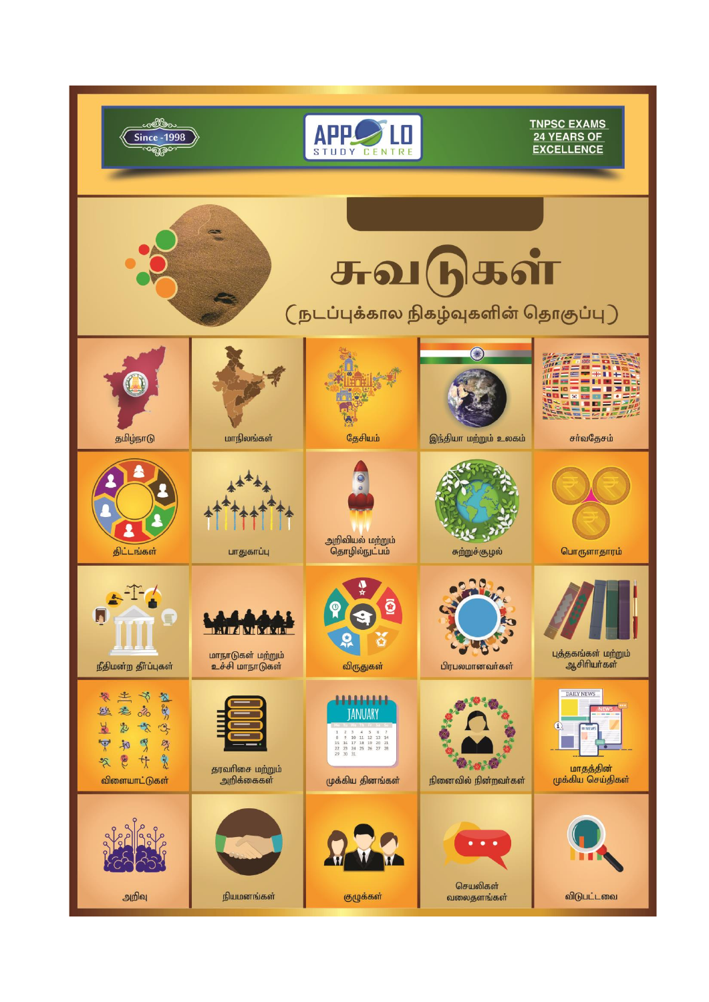| since -1998                                                                                                                                                                                                                   |                                                                | <b>STUDY CENTRE</b>                              |                                         | <b>TNPSC EXAMS</b><br>24 YEARS OF<br><b>EXCELLENCE</b>                 |  |
|-------------------------------------------------------------------------------------------------------------------------------------------------------------------------------------------------------------------------------|----------------------------------------------------------------|--------------------------------------------------|-----------------------------------------|------------------------------------------------------------------------|--|
| சுவடுகள்<br>$\overline{\text{C}}$ நடப்புக்கால நிகழ்வுகளின் தொகுப்பு $\overline{\text{C}}$                                                                                                                                     |                                                                |                                                  |                                         |                                                                        |  |
| தமிழ்நாடு                                                                                                                                                                                                                     | மாநிலங்கள்                                                     | தேசியம்                                          | இந்தியா மற்றும் உலகம்                   | சா்வதேசம்                                                              |  |
| திட்டங்கள்                                                                                                                                                                                                                    | பாதுகாப்பு                                                     | அறிவியல் மற்றும்<br>தொழில்நுட்பம்                | சுற்றுச்சூழல்                           | பொருளாதாரம்                                                            |  |
| நீதிமன்ற தீர்ப்புகள்                                                                                                                                                                                                          | <u>matiza vilada a</u><br>மாநாடுகள் மற்றும்<br>உச்சி மாநாடுகள் | Q<br>õ<br>விருதுகள்                              | பிரபலமானவர்கள்                          | புத்தகங்கள் மற்றும்<br>ஆசிரியர்கள்                                     |  |
| <b>Asian</b><br>ీన<br>老<br>쓰<br>$\delta$<br>$\frac{1}{6}$<br>3<br>$\frac{1}{2}$<br>$\frac{\Delta}{\Delta}$<br>$\frac{p_3}{\lambda}$<br>$\mathbb{Z}$<br>$\overline{\mathbb{P}}$<br>和<br>20<br>Ce<br>$\approx$<br>விளையாட்டுகள் | தரவரிசை மற்றும்<br>அறிக்கைகள்                                  | <u>HHH</u><br><b>JANUARY</b><br>முக்கிய தினங்கள் | <b>Progress</b><br>நினைவில் நின்றவா்கள் | DAILY NEWS<br>$\mathbf{u}$<br>$N$ EW<br>மாதத்தின்<br>முக்கிய செய்திகள் |  |
| அறிவு                                                                                                                                                                                                                         | நியமனங்கள்                                                     | குழுக்கள்                                        | ٠<br>٠<br>செயலிகள்<br>வலைதளங்கள்        | விடுபட்டவை                                                             |  |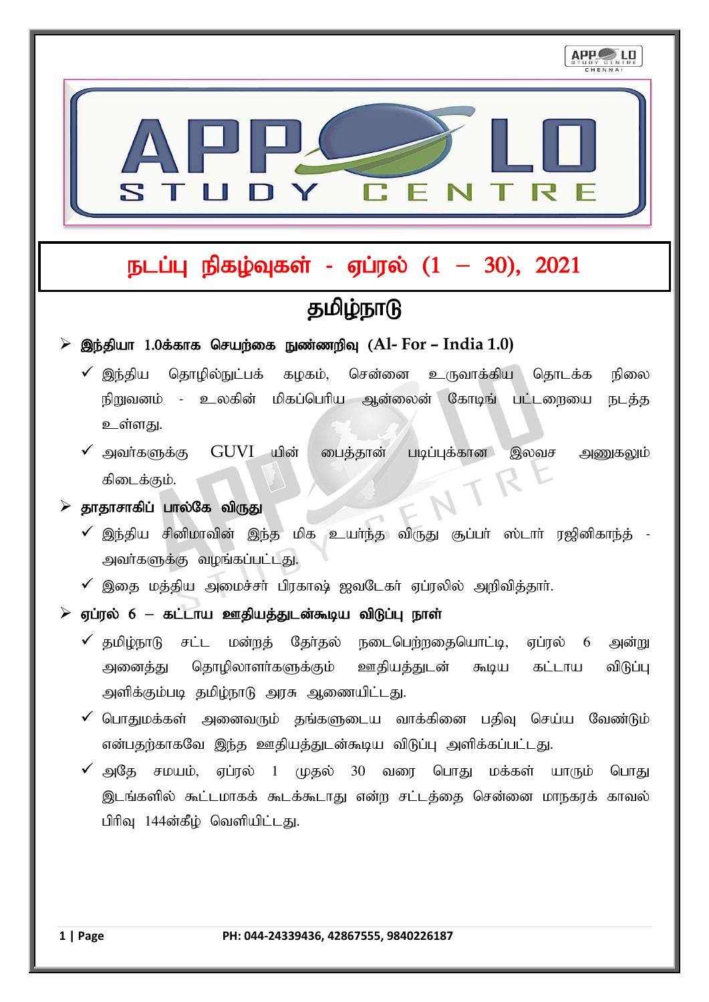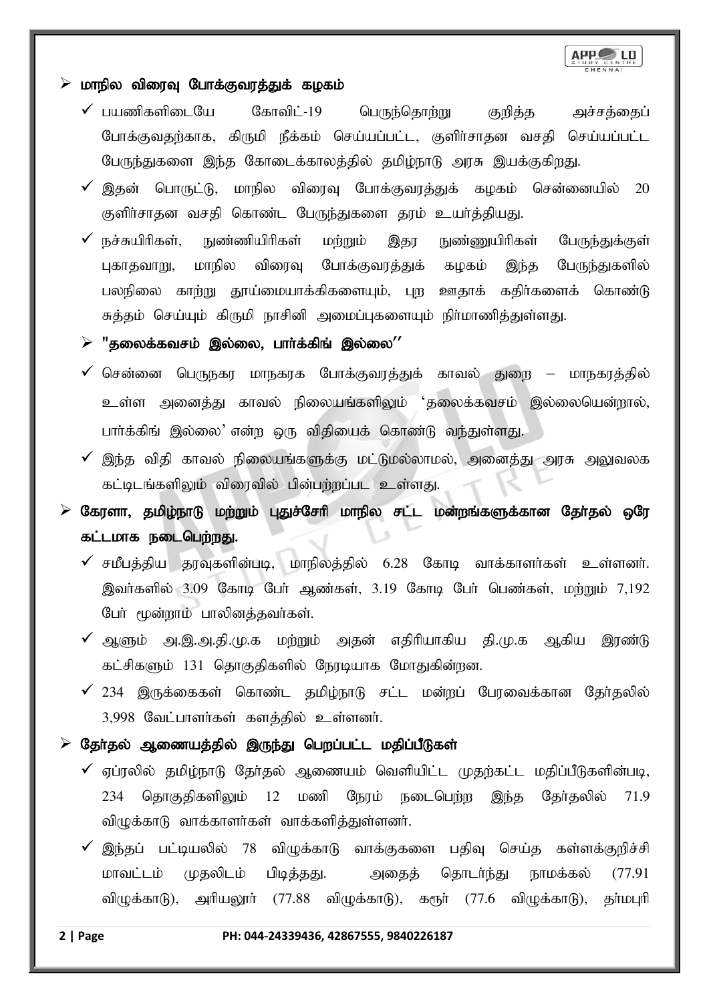

### $\triangleright$  மாநில விரைவு போக்குவரத்துக் கழகம்

- $\checkmark$  பயணிகளிடையே கோவிட்-19 பெருந்தொற்று குறித்த அச்சத்தைப் போக்குவதற்காக, கிருமி நீக்கம் செய்யப்பட்ட, குளிர்சாதன வசதி செய்யப்பட்ட பேருந்துகளை இந்த கோடைக்காலத்தில் தமிழ்நாடு அரசு இயக்குகிறது.
- $\checkmark$  இதன் பொருட்டு, மாநில விரைவு போக்குவரத்துக் கழகம் சென்னையில் 20 குளிர்சாதன வசதி கொண்ட பேருந்துகளை தரம் உயர்த்தியது.
- $\checkmark$  நச்சுயிரிகள், நுண்ணியிரிகள் மற்றும் இதர நுண்ணுயிரிகள் பேருந்துக்குள் புகாதவாறு, மாநில விரைவு போக்குவரத்துக் கழகம் இந்த பேருந்துகளில் பலநிலை காற்று தூய்மையாக்கிகளையும், புற ஊதாக் கதிர்களைக் கொண்டு சுத்தம் செய்யும் கிருமி நாசினி அமைப்புகளையும் நிா்மாணித்துள்ளது.

### $\triangleright$  "தலைக்கவசம் இல்லை, பார்க்கிங் இல்லை''

- $\checkmark$  சென்னை பெருநகர மாநகரக போக்குவரத்துக் காவல் துறை மாநகரத்தில் உள்ள அனைத்து காவல் நிலையங்களிலும் 'தலைக்கவசம் இல்லையென்றால், பார்க்கிங் இல்லை' என்ற ஒரு விதியைக் கொண்டு வந்துள்ளது.
- $\checkmark$  இந்த விதி காவல் நிலையங்களுக்கு மட்டுமல்லாமல், அனைத்து அரசு அலுவலக கட்டிடங்களிலும் விரைவில் பின்பற்றப்பட உள்ளது.
- கேரளா, தமிழ்நாடு மற்றும் புதுச்சேரி மாநில சட்ட மன்றங்களுக்கான தோ்தல் ஒரே கட்டமாக நடைபெற்றது.
	- $\checkmark$  சமீபத்திய தரவுகளின்படி, மாநிலத்தில் 6.28 கோடி வாக்காளர்கள் உள்ளனர். இவர்களில் 3.09 கோடி பேர் ஆண்கள், 3.19 கோடி பேர் பெண்கள், ம<u>ற்று</u>ம் 7,192 பேர் மூன்றாம் பாலினத்தவர்கள்.
	- $\checkmark$  ஆளும் அ.இ.அ.தி.மு.க மற்றும் அதன் எதிரியாகிய தி.மு.க ஆகிய இரண்டு கட்சிகளும் 131 தொகுதிகளில் நேரடியாக மோதுகின்றன.
	- $\checkmark$  234 இருக்கைகள் கொண்ட தமிழ்நாடு சட்ட மன்றப் பேரவைக்கான தேர்தலில் 3,998 வேட்பாளர்கள் களத்தில் உள்ளனர்.
- $\triangleright$  தோ்தல் ஆணையத்தில் இருந்து பெறப்பட்ட மதிப்பீடுகள்
	- $\checkmark$  ஏப்ரலில் தமிழ்நாடு தேர்தல் ஆணையம் வெளியிட்ட முதற்கட்ட மதிப்பீடுகளின்படி, 234 தொகுதிகளிலும் 12 மணி நேரம் நடைபெற்ற இந்த தேர்தலில் 71.9 விழுக்காடு வாக்காளர்கள் வாக்களித்துள்ளனர்.
	- இந்தப் பட்டியலில் 78 விழுக்காடு வாக்குகளை பதிவு செய்த கள்ளக்குறிச்சி மாவட்டம் முதலிடம் பிடித்தது. அதைத் தொடர்ந்து நாமக்கல் (77.91 விமுக்காடு), அரியலூர் (77.88 விழுக்காடு), கரூர் (77.6 விழுக்காடு), தர்மபுரி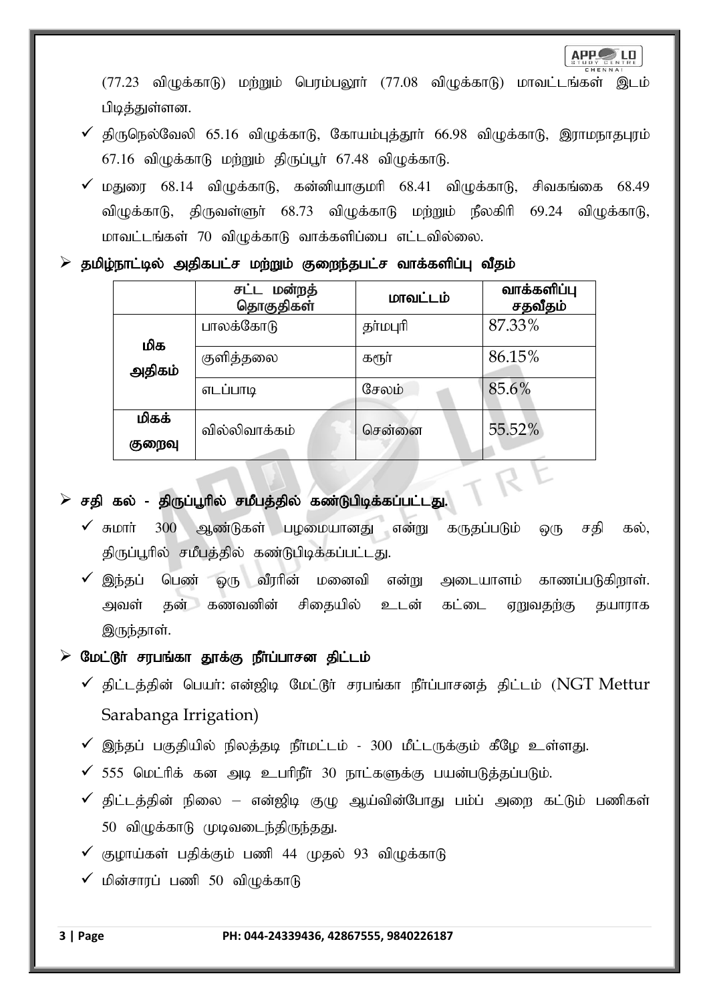$(77.23$  விழுக்காடு) மற்றும் பெரம்பலூா்  $(77.08$  விழுக்காடு) மாவட்டங்கள் இடம் பிடித்துள்ளன.

- $\checkmark$  திருநெல்வேலி 65.16 விழுக்காடு, கோயம்புத்தூர் 66.98 விழுக்காடு, இராமநாதபுரம்  $67.16$  விழுக்காடு மற்றும் திருப்பூர்  $67.48$  விழுக்காடு.
- $\checkmark$  மகுணா 68.14 விழுக்காடு, கன்னியாகுமரி 68.41 விழுக்காடு, சிவகங்கை 68.49 விழுக்காடு, திருவள்ளுர் 68.73 விழுக்காடு மற்றும் நீலகிரி 69.24 விழுக்காடு, மாவட்டங்கள் 70 விழுக்காடு வாக்களிப்பை எட்டவில்லை.

### $\triangleright$  தமிழ்நாட்டில் அதிகபட்ச மற்றும் குறைந்தபட்ச வாக்களிப்பு வீதம்

|        | சட்ட மன்றத்<br>தொகுதிகள் | மாவட்டம் | வாக்களிப்பு<br>சதவீதம் |
|--------|--------------------------|----------|------------------------|
| மிக    | பாலக்கோடு                | தர்மபுரி | 87.33%                 |
| அதிகம் | குளித்தலை                | கரூர்    | 86.15%                 |
|        | எடப்பாடி                 | சேலம்    | 85.6%                  |
| மிகக்  | வில்லிவாக்கம்            | சென்னை   | 55.52%                 |
| குறைவு |                          |          |                        |

### $\triangleright$  சதி கல் - திருப்பூரில் சமீபத்தில் கண்டுபிடிக்கப்பட்டது.

 $\checkmark$  சுமார் 300 ஆண்டுகள் பழமையானது என்று கருதப்படும் ஒரு சதி கல், திருப்பூரில் சமீபத்தில் கண்டுபிடிக்கப்பட்டது.

R

 $\checkmark$  இந்தப் பெண் ஒரு வீரரின் மனைவி என்று அடையாளம் காணப்படுகிறாள். அவள் தன் கணவனின் சிதையில் உடன் கட்டை ஏறுவதற்கு தயாராக இருந்தாள்.

### $\triangleright$  மேட்டூர் சரபங்கா தூக்கு நீர்ப்பாசன திட்டம்

- $\checkmark$  திட்டத்தின் பெயர்: என்ஜிடி மேட்டூர் சரபங்கா நீர்ப்பாசனத் திட்டம் (NGT Mettur Sarabanga Irrigation)
- $\checkmark$  இந்தப் பகுதியில் நிலத்தடி நீர்மட்டம் 300 மீட்டருக்கும் கீழே உள்ளது.
- $\checkmark$  555 மெட்ரிக் கன அடி உபரிநீர் 30 நாட்களுக்கு பயன்படுத்தப்படும்.
- $\checkmark$  திட்டத்தின் நிலை என்ஜிடி குழு ஆய்வின்போது பம்ப் அறை கட்டும் பணிகள்  $50$  விழுக்காடு முடிவடைந்திருந்தது.
- $\checkmark$  குழாய்கள் பதிக்கும் பணி 44 முதல் 93 விழுக்காடு
- $\checkmark$  மின்சாரப் பணி 50 விழுக்காடு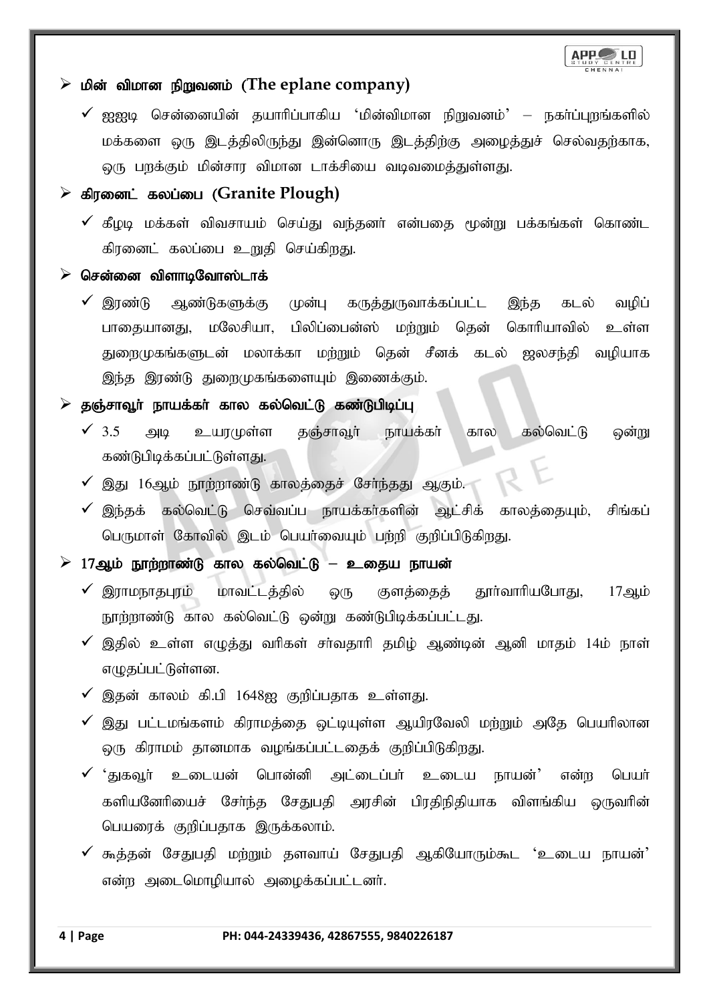

### ≻ மின் விமான நிறுவனம் (The eplane company)

 $\checkmark$  ஐஐடி சென்னையின் தயாரிப்பாகிய 'மின்விமான நிறுவனம்' – நகர்ப்புறங்களில் மக்களை ஒரு இடத்திலிருந்து இன்னொரு இடத்திற்கு அழைத்துச் செல்வதற்காக, லுரு பறக்கும் மின்சார விமான டாக்சியை வடிவமைத்துள்ளது.

### ➢ fpuidl; fyg;ig (**Granite Plough)**

 $\checkmark$  கீழடி மக்கள் விவசாயம் செய்து வந்தனர் என்பகை மூன்று பக்கங்கள் கொண்ட கிரனைட் கலப்பை உறுதி செய்கிறது.

#### $\triangleright$  சென்னை விளாடிவோஸ்டாக்

 $\checkmark$  இரண்டு ஆண்டுகளுக்கு முன்பு கருத்துருவாக்கப்பட்ட இந்த கடல் வழிப் பாதையானது, மலேசியா, பிலிப்பைன்ஸ் மற்றும் தென் கொரியாவில் உள்ள துறைமுகங்களுடன் மலாக்கா மற்றும் தென் சீனக் கடல் ஜலசந்தி வழியாக இந்த இரண்டு துறைமுகங்களையும் இணைக்கும்.

### $\triangleright$  தஞ்சாவூர் நாயக்கர் கால கல்வெட்டு கண்டுபிடிப்பு

- $\checkmark$  3.5 அடி உயரமுள்ள தஞ்சாவூர் நாயக்கர் கால கல்வெட்டு ஒன்று கண்டுபிடிக்கப்பட்டுள்ளது.
- $\checkmark$  இது 16ஆம் நூற்றாண்டு காலத்தைச் சேர்ந்தது ஆகும்.
- $\checkmark$  இந்தக் கல்வெட்டு செவ்வப்ப நாயக்கர்களின் ஆட்சிக் காலக்கையும், சிங்கப் பெருமாள் கோவில் இடம் பெயர்வையும் பற்றி குறிப்பிடுகிறது.

### $\geq 17$ ஆம் நூற்றாண்டு கால கல்வெட்டு – உதைய நாயன்

- $\checkmark$  இராமநாதபுரம் மாவட்டத்தில் ஒரு குளத்தைத் தூா்வாாியபோது, 17ஆம் நூற்றாண்டு கால கல்வெட்டு ஒன்று கண்டுபிடிக்கப்பட்டது.
- $\checkmark$  இதில் உள்ள எழுத்து வரிகள் சர்வதாரி தமிழ் ஆண்டின் ஆனி மாதம் 14ம் நாள் எழுதப்பட்டுள்ளன.
- $\checkmark$  இதன் காலம் கி.பி 1648ஐ குறிப்பதாக உள்ளது.
- $\checkmark$  இது பட்டமங்களம் கிாாமக்கை வட்டியள்ள ஆயிாவேலி மற்றும் அதே பெயரிலான லு கிராமம் தானமாக வழங்கப்பட்டதைக் குறிப்பிடுகிறது.
- $\checkmark$  'துகவர் உடையன் பொன்னி அட்டைப்பர் உடைய நாயன்' என்ற பெயர் களியனேரியைச் சேர்ந்த சேதுபதி அரசின் பிரதிநிதியாக விளங்கிய ஒருவரின் பெயரைக் குறிப்பதாக இருக்கலாம்.
- $\checkmark$  கூத்தன் சேதுபதி மற்றும் தளவாய் சேதுபதி ஆகியோரும்கூட 'உடைய நாயன்' என்ற அடைமொழியால் அமைக்கப்பட்டனர்.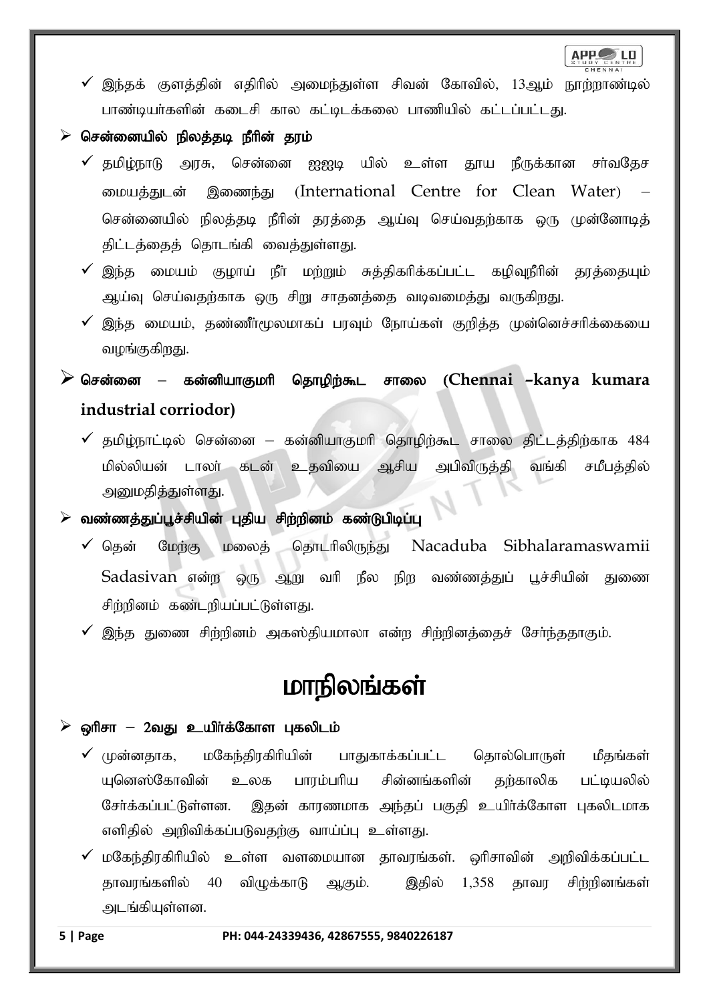APP LD

 $\checkmark$  இந்தக் குளத்தின் எதிரில் அமைந்துள்ள சிவன் கோவில், 13ஆம் நூற்றாண்டில் பாண்டியர்களின் கடைசி கால கட்டிடக்கலை பாணியில் கட்டப்பட்டது.

### $\triangleright$  சென்னையில் நிலத்தடி நீரின் தரம்

- $\checkmark$  தமிழ்நாடு அரசு, சென்னை ஐஐடி யில் உள்ள தூய நீருக்கான சா்வதேச மையத்துடன் இணைந்து (International Centre for Clean Water) சென்னையில் நிலக்கடி நீரின் காக்கை ஆய்வ செய்வகர்காக ஒரு முன்னோடிக் திட்டத்தைத் தொடங்கி வைத்துள்ளது.
- $\checkmark$  இந்த மையம் குழாய் நீா் மற்றும் சுத்திகரிக்கப்பட்ட கழிவுநீரின் தரத்தையும் ஆய்வு செய்வதற்காக ஒரு சிறு சாதனத்தை வடிவமைத்து வருகிறது.
- $\checkmark$  இந்த மையம், தண்ணீா்மூலமாகப் பரவும் நோய்கள் குறித்த முன்னெச்சாிக்கையை வழங்குகிறது.

### $\blacktriangleright$  சென்னை – கன்னியாகுமரி தொழிற்கூட சாலை (Chennai –kanya kumara **industrial corriodor)**

 $\checkmark$  தமிழ்நாட்டில் சென்னை – கன்னியாகுமரி தொழிற்கூட சாலை திட்டத்திற்காக 484 மில்லியன் டாலா் கடன் உதவியை ஆசிய அபிவிருத்தி வங்கி சமீபத்தில் அனுமதித்துள்ளது.

 $\triangleright$  வண்ணத்துப்பூச்சியின் புதிய சிற்றினம் கண்டுபிடிப்பு

- $\checkmark$  தென் மேற்கு மலைத் தொடரிலிருந்து Nacaduba Sibhalaramaswamii Sadasivan என்ற ஒரு ஆறு வரி நீல நிற வண்ணத்துப் பூச்சியின் துணை சிற்றினம் கண்டறியப்பட்டுள்ளது.
- $\checkmark$  இந்த துணை சிற்றினம் அகஸ்தியமாலா என்ற சிற்றினத்தைச் சேர்ந்ததாகும்.

# மாநிலங்கள்

#### ஒரிசா – 2வது உயிர்க்கோள புகலிடம்

- $\checkmark$  (ழன்னதாக, மகேந்திரகிரியின் பாதுகாக்கப்பட்ட தொல்பொருள் மீதங்கள் யுனெஸ்கோவின் உலக பாரம்பரிய சின்னங்களின் கற்காலிக பட்டியலில் சேர்க்கப்பட்டுள்ளன. இதன் காரணமாக அந்தப் பகுதி உயிர்க்கோள புகலிடமாக எளிதில் அறிவிக்கப்படுவதற்கு வாய்ப்பு உள்ளது.
- $\checkmark$  மகேந்திரகிரியில் உள்ள வளமையான தாவரங்கள். ஒரிசாவின் அறிவிக்கப்பட்ட தாவரங்களில் 40 விழுக்காடு ஆகும். இதில் 1,358 தாவர சிற்றினங்கள் அடங்கியுள்ளன.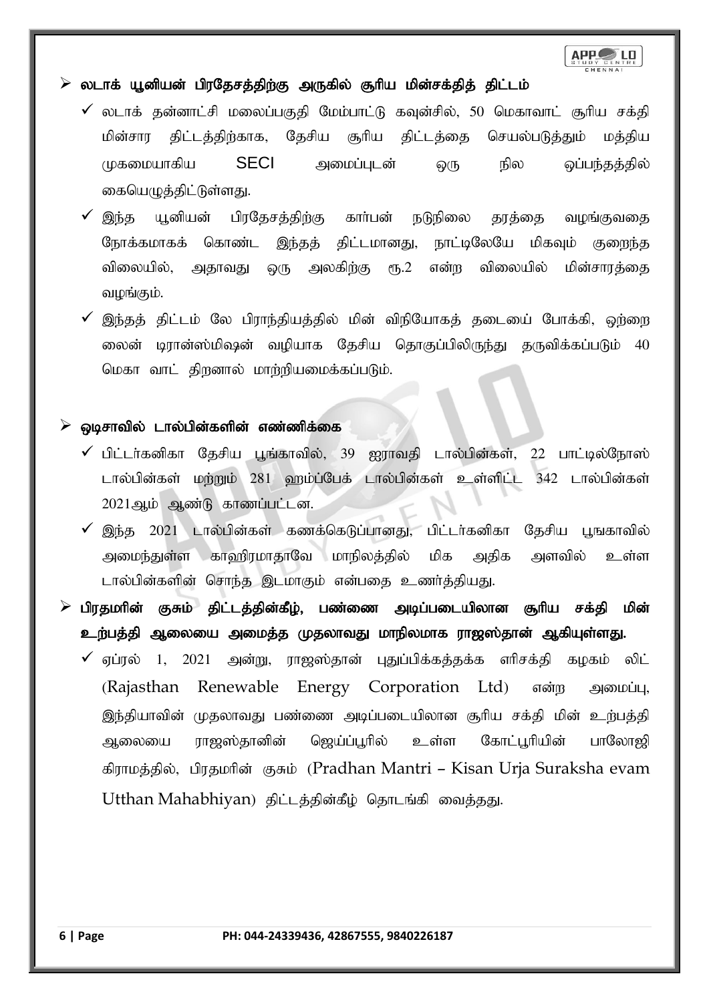# APP LO

### $\triangleright$  லடாக் யூனியன் பிரதேசத்திற்கு அருகில் சூரிய மின்சக்தித் திட்டம்

- $\checkmark$  லடாக் தன்னாட்சி மலைப்பகுதி மேம்பாட்டு கவுன்சில், 50 மெகாவாட் சூரிய சக்தி மின்சார திட்டத்திற்காக, தேசிய சூரிய திட்டத்தை செயல்படுத்தும் மத்திய முகமையாகிய SECI அமைப்புடன் ஒரு நில ஒப்பந்தத்தில் கையெழுத்திட்டுள்ளது.
- $\checkmark$  இந்த யூனியன் பிரதேசத்திற்கு கார்பன் நடுநிலை தரத்தை வழங்குவதை நோக்கமாகக் கொண்ட இந்தத் திட்டமானது, நாட்டிலேயே மிகவும் குறைந்த விலையில், அதாவது ஒரு அலகிற்கு ரூ.2 என்ற விலையில் மின்சாரத்தை வழங்கும்.
- $\checkmark$  இந்தத் திட்டம் லே பிராந்தியத்தில் மின் விநியோகத் தடையை போக்கி, ஹ்ளை லைன் டிரான்ஸ்மிஷன் வழியாக தேசிய தொகுப்பிலிருந்து தருவிக்கப்படும் 40 மெகா வாட் திறனால் மாற்றியமைக்கப்படும்.

#### $\triangleright$  ஒடிசாவில் டால்பின்களின் எண்ணிக்கை

- $\checkmark$  பிட்டர்கனிகா தேசிய பூங்காவில், 39 ஐராவதி டால்பின்கள், 22 பாட்டில்நோஸ் டால்பின்கள் மற்றும் 281 ஹம்ப்பேக் டால்பின்கள் உள்ளிட்ட 342 டால்பின்கள் 2021ஆம் ஆண்டு காணப்பட்டன.
- $\checkmark$  இந்த 2021 டால்பின்கள் கணக்கெடுப்பானது, பிட்டர்கனிகா தேசிய பூஙகாவில் அமைந்துள்ள காஹிரமாதாவே மாநிலத்தில் மிக அதிக அளவில் உள்ள டால்பின்களின் சொந்த இடமாகும் என்பதை உணர்த்தியது.
- $\triangleright$  பிரதமரின் குசும் திட்டத்தின்கீழ், பண்ணை அடிப்படையிலான சூரிய சக்தி மின் உற்பத்தி ஆலையை அமைத்த முதலாவது மாநிலமாக ராஜஸ்தான் ஆகியுள்ளது.
	- $\checkmark$  ஏப்ரல் 1, 2021 அன்று, ராஜஸ்தான் புதுப்பிக்கத்தக்க எரிசக்தி கழகம் லிட் (Rajasthan Renewable Energy Corporation Ltd) என்ற அமைப்பு, இந்தியாவின் முதலாவது பண்ணை அடிப்படையிலான சூரிய சக்தி மின் உற்பத்தி ஆலையை ராஜஸ்தானின் ஜெய்ப்பூரில் உள்ள கோட்பூரியின் பாலோஜி கிராமத்தில், பிரதமரின் குசும் (Pradhan Mantri – Kisan Urja Suraksha evam Utthan Mahabhiyan) திட்டத்தின்கீழ் தொடங்கி வைத்தது.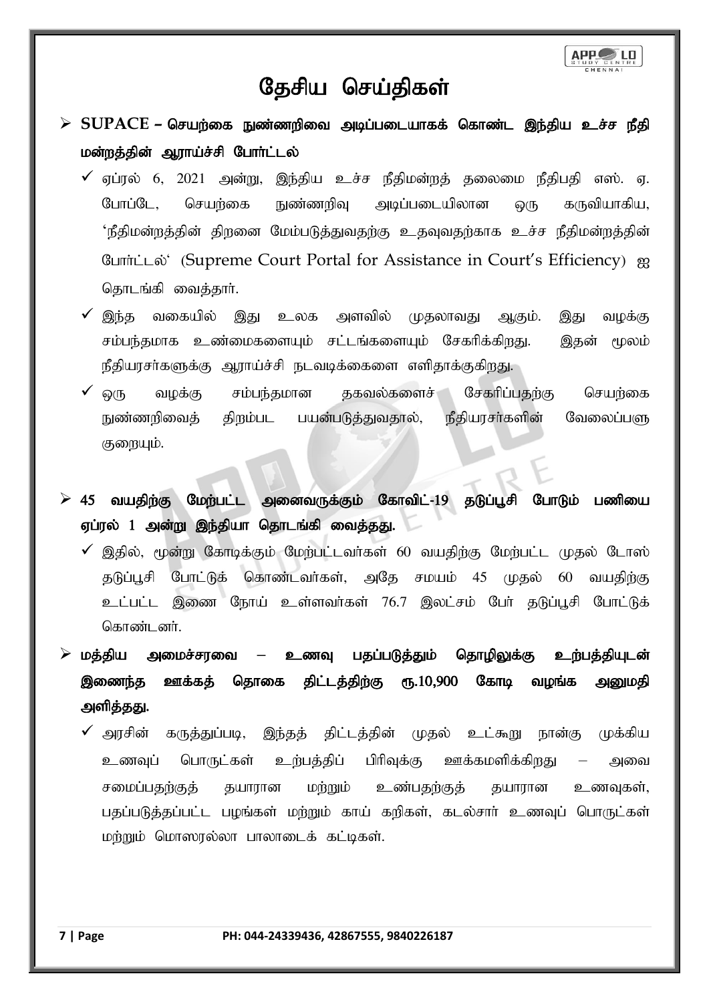

# தேசிய செய்திகள்

- $\triangleright$  SUPACE செயற்கை நுண்ணறிவை அடிப்படையாகக் கொண்ட இந்திய உச்ச நீதி மன்றத்தின் ஆராய்ச்சி போர்ட்டல்
	- $\checkmark$  ஏப்ரல் 6, 2021 அன்று, இந்திய உச்ச நீதிமன்றத் தலைமை நீதிபதி எஸ். ஏ. போப்டே, செயற்கை நுண்ணறிவு அடிப்படையிலான ஒரு கருவியாகிய,  $\cdot$ நீதிமன்றத்தின் திறனை மேம்படுத்துவதற்கு உதவுவதற்காக உச்ச நீதிமன்றத்தின் போர்ட்டல் (Supreme Court Portal for Assistance in Court's Efficiency) ஐ தொடங்கி வைத்தார்.
	- $\checkmark$  இந்த வகையில் இது உலக அளவில் முதலாவது ஆகும். இது வழக்கு சம்பந்தமாக உண்மைகளையும் சட்டங்களையும் சேகரிக்கிறது. இதன் மூலம் நீதியரசர்களுக்கு ஆராய்ச்சி நடவடிக்கைளை எளிதாக்குகிறது.
	- ஒரு வழக்கு சம்பந்தமான தகவல்களைச் சேகரிப்பதற்கு செயற்கை நுண்ணறிவைத் திறம்பட பயன்படுத்துவதால், நீதியரசா்களின் வேலைப்பளு குறையும்.
- $\triangleright$  45 வயதிற்கு மேற்பட்ட அனைவருக்கும் கோவிட்-19 தடுப்பூசி போடும் பணியை ஏப்ரல் 1 அன்று இந்தியா தொடங்கி வைத்தது.
	- $\checkmark$  இதில், மூன்று கோடிக்கும் மேற்பட்டவா்கள் 60 வயதிற்கு மேற்பட்ட முதல் டோஸ் தடுப்பூசி போட்டுக் கொண்டவா்கள், அதே சமயம் 45 முதல் 60 வயதிற்கு உட்பட்ட இணை நோய் உள்ளவர்கள் 76.7 இலட்சம் பேர் தடுப்பூசி போட்டுக் கொண்டனர்.
- $\triangleright$  மத்திய அமைச்சரவை உணவு பதப்படுத்தும் தொழிலுக்கு உற்பத்தியுடன் இணைந்த ஊக்கத் தொகை திட்டத்திற்கு ரூ.10,900 கோடி வழங்க அனுமதி அளித்தது.
	- $\checkmark$  அரசின் கருத்துப்படி, இந்தத் திட்டத்தின் முதல் உட்கூறு நான்கு முக்கிய உணவுப் பொருட்கள் உற்பத்திப் பிரிவுக்கு ஊக்கமளிக்கிறது – அவை சமைப்பதற்குத் தயாரான மற்றும் உண்பதற்குத் தயாரான உணவுகள், பதப்படுத்தப்பட்ட பழங்கள் மற்றும் காய் கறிகள், கடல்சார் உணவுப் பொருட்கள் மற்றும் மொஸரல்லா பாலாடைக் கட்டிகள்.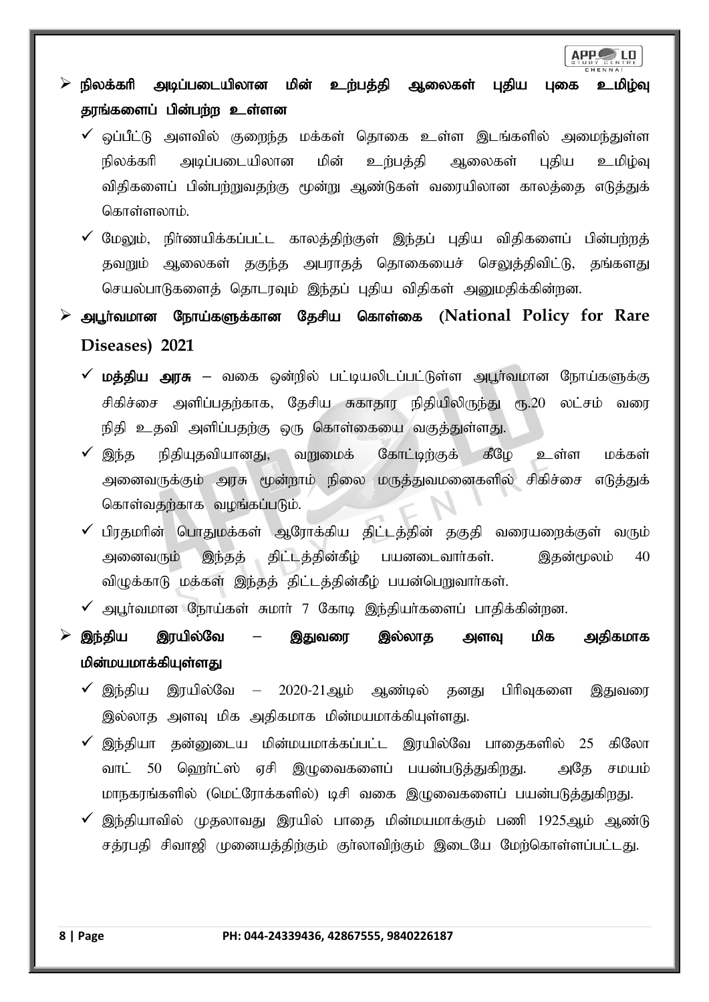### $\triangleright$  நிலக்கரி அடிப்படையிலான மின் உற்பத்தி ஆலைகள் புதிய புகை உமிழ்வு தரங்களைப் பின்பற்ற உள்ளன

- $\checkmark$  ஒப்பீட்டு அளவில் குறைந்த மக்கள் தொகை உள்ள இடங்களில் அமைந்துள்ள நிலக்கரி அடிப்படையிலான மின் உற்பத்தி ஆலைகள் புதிய உமிழ்வு விதிகளைப் பின்பற்றுவதற்கு மூன்று ஆண்டுகள் வரையிலான காலத்தை எடுத்துக் கொள்ளலாம்.
- $\checkmark$  மேலும், நிர்ணயிக்கப்பட்ட காலத்திற்குள் இந்தப் புதிய விதிகளைப் பின்பற்றத் தவறும் ஆலைகள் தகுந்த அபராதத் தொகையைச் செலுத்திவிட்டு, தங்களது செயல்பாடுகளைத் தொடரவும் இந்தப் புதிய விதிகள் அனுமதிக்கின்றன.
- ➢ mg+h;tkhd Neha;fSf;fhd Njrpa nfhs;if (**National Policy for Rare Diseases) 2021**
	- **✓ மத்திய அரசு –** வகை ஒன்றில் பட்டியலிடப்பட்டுள்ள அபூர்வமான நோய்களுக்கு சிகிச்சை அளிப்பதற்காக, தேசிய சுகாதார நிதியிலிருந்து ரூ.20 லட்சம் வரை நிதி உதவி அளிப்பதற்கு ஒரு கொள்கையை வகுத்துள்ளது.
	- $\checkmark$  இந்த நிதியுதவியானது, வறுமைக் கோட்டிற்குக் கீழே உள்ள மக்கள் அனைவருக்கும் அரசு மூன்றாம் நிலை மருத்துவமனைகளில் சிகிச்சை எடுத்துக் கொள்வதற்காக வழங்கப்படும்.
	- பிரதமரின் பொதுமக்கள் ஆரோக்கிய திட்டத்தின் தகுதி வரையறைக்குள் வரும் அனைவரும் இந்தத் திட்டத்தின்கீழ் பயனடைவார்கள். இதன்மூலம் 40 விழுக்காடு மக்கள் இந்தத் திட்டத்தின்கீழ் பயன்பெறுவார்கள்.
	- $\checkmark$  அபூர்வமான நோய்கள் சுமார் 7 கோடி இந்தியர்களைப் பாதிக்கின்றன.
- $\geq$  இந்திய இரயில்வே இதுவரை இல்லாத அளவு மிக அதிகமாக மின்மயமாக்கியுள்ளது
	- $\checkmark$  இந்திய இரயில்வே 2020-21ஆம் ஆண்டில் தனது பிரிவுகளை இதுவரை இல்லாத அளவு மிக அதிகமாக மின்மயமாக்கியுள்ளது.
	- $\checkmark$  இந்தியா தன்னுடைய மின்மயமாக்கப்பட்ட இரயில்வே பாதைகளில் 25 கிலோ வாட் 50 ஹெர்ட்ஸ் ஏசி இழுவைகளைப் பயன்படுத்துகிறது. அதே சமயம் மாநகரங்களில் (மெட்ரோக்களில்) டிசி வகை இழுவைகளைப் பயன்படுத்துகிறது.
	- இந்தியாவில் முதலாவது இரயில் பாதை மின்மயமாக்கும் பணி 1925ஆம் ஆண்டு சத்ரபதி சிவாஜி முனையத்திற்கும் குர்லாவிற்கும் இடையே மேற்கொள்ளப்பட்டது.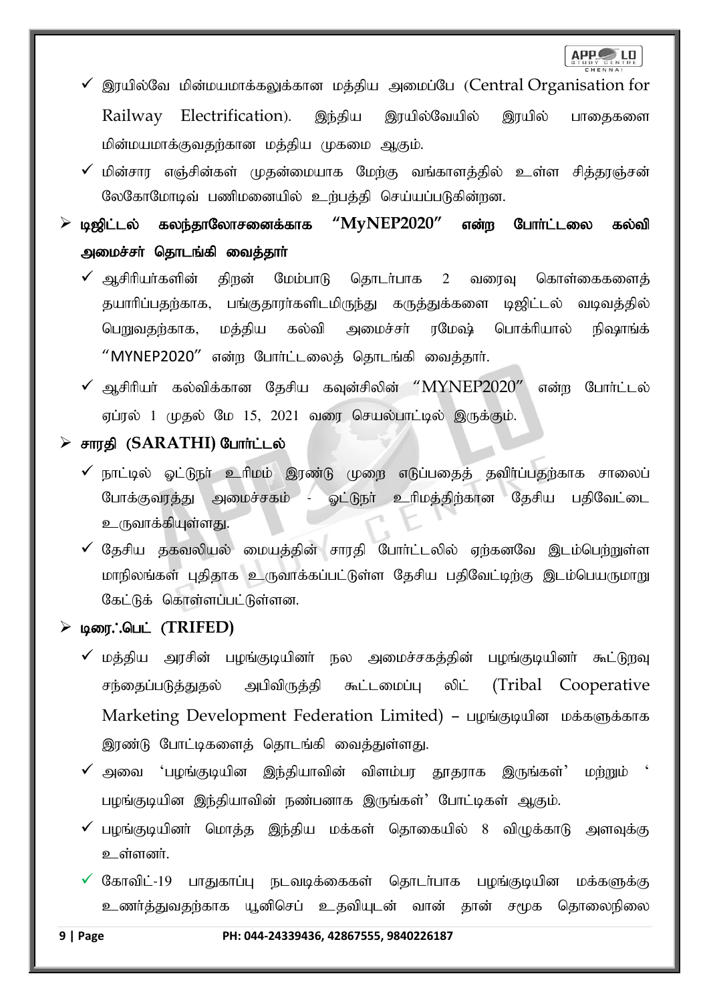

- $\checkmark$  இரயில்வே மின்மயமாக்கலுக்கான மத்திய அமைப்பே (Central Organisation for Railway Electrification). இந்திய இரயில்வேயில் இரயில் பாதைகளை மின்மயமாக்குவதற்கான மக்கிய முகமை ஆகும்.
- $\checkmark$  மின்சார எஞ்சின்கள் முதன்மையாக மேற்கு வங்காளத்தில் உள்ள சித்தரஞ்சன் லேகோமோடிவ் பணிமனையில் உற்பத்தி செய்யப்படுகின்றன.
- $\triangleright$  டிஜிட்டல் கலந்தாலோசனைக்காக " $MyNEP2020$ " என்ற போர்ட்டலை கல்வி அமைச்சா் தொடங்கி வைத்தாா்
	- $\checkmark$  ஆசிரியர்களின் திறன் மேம்பாடு தொடர்பாக 2 வரைவு கொள்கைகளைத் தயாரிப்பதற்காக, பங்குதாரா்களிடமிருந்து கருத்துக்களை டிஜிட்டல் வடிவத்தில் பெறுவதற்காக, மத்திய கல்வி அமைச்சர் ரமேஷ் பொக்ரியால் நிஷாங்க்  $"$ MYNEP2020 $"$  என்ற போர்ட்டலைத் தொடங்கி வைத்தார்.
	- $\checkmark$  ஆசிரியர் கல்விக்கான தேசிய கவுன்சிலின் " $MYNEP2020''$  என்ற போர்ட்டல் ஏப்ரல் 1 முதல் மே 15, 2021 வரை செயல்பாட்டில் இருக்கும்.

### $\triangleright$  சாரதி (SARATHI) போர்ட்டல்

- $\checkmark$  நாட்டில் ஓட்டுநா் உரிமம் இரண்டு முறை எடுப்பதைத் தவிா்ப்பதற்காக சாலைப் போக்குவரத்து அமைச்சகம் - ஓட்டுநா் உரிமத்திற்கான தேசிய பதிவேட்டை உருவாக்கியுள்ளது.
- $\checkmark$  தேசிய தகவலியல் மையத்தின் சாரதி போர்ட்டலில் ஏற்கனவே இடம்பெற்றுள்ள மாநிலங்கள் புதிதாக உருவாக்கப்பட்டுள்ள தேசிய பதிவேட்டிற்கு இடம்பெயருமாறு கேட்டுக் கொள்ளப்பட்டுள்ளன.

### ➢ biu/ngl; (**TRIFED)**

- $\checkmark$  மத்திய அரசின் பழங்குடியினர் நல அமைச்சகத்தின் பழங்குடியினர் கூட்டுறவு சந்தைப்படுத்துதல் அபிவிருத்தி கூட்டமைப்பு லிட்  $(Tribal Cooperator$ Marketing Development Federation Limited) - பழங்குடியின மக்களுக்காக இரண்டு போட்டிகளைத் தொடங்கி வைத்துள்ளது.
- $\checkmark$  அவை 'பழங்குடியின இந்தியாவின் விளம்பர தூதராக இருங்கள்' மற்றும் பழங்குடியின இந்தியாவின் நண்பனாக இருங்கள்' போட்டிகள் ஆகும்.
- $\checkmark$  பழங்குடியினர் மொத்த இந்திய மக்கள் தொகையில் 8 விழுக்காடு அளவுக்கு உள்ளனர்.
- $\checkmark$  கோவிட்-19 பாதுகாப்பு நடவடிக்கைகள் தொடர்பாக பழங்குடியின மக்களுக்கு உணர்த்துவதற்காக யூனிசெப் உதவியுடன் வான் தான் சமூக தொலைநிலை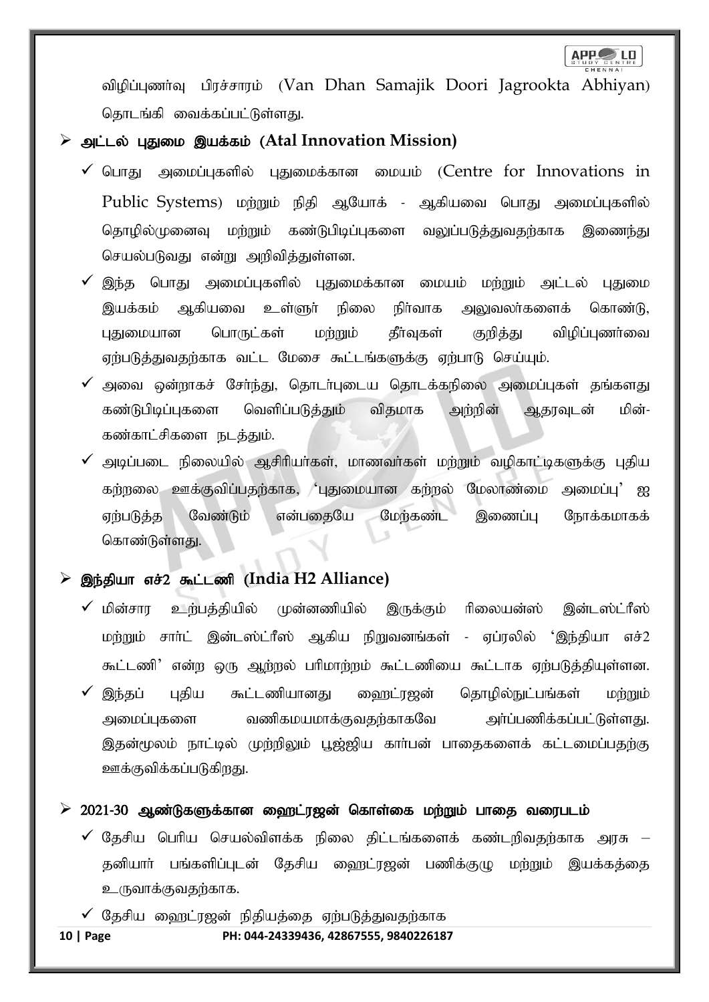விழிப்புணர்வு பிரச்சாரம் (Van Dhan Samajik Doori Jagrookta Abhiyan) தொடங்கி வைக்கப்பட்டுள்ளது.

### ➢ ml;ly; GJik ,af;fk; (**Atal Innovation Mission)**

- $\checkmark$  பொது அமைப்புகளில் புதுமைக்கான மையம் (Centre for Innovations in Public Systems) மற்றும் நிதி ஆயோக் - ஆகியவை பொது அமைப்புகளில் தொழில்முனைவு மற்றும் கண்டுபிடிப்புகளை வலுப்படுத்துவதற்காக இணைந்து செயல்படுவது என்று அறிவித்துள்ளன.
- $\checkmark$  இந்த பொது அமைப்பகளில் பதுமைக்கான மையம் மற்றும் அட்டல் பதுமை இயக்கம் அகியவை உள்ளூர் நிலை நிர்வாக அலுவலர்களைக் கொண்டு, புதுமையான பொருட்கள் மற்றும் தீர்வுகள் குறித்து விமிப்பணர்வை ஏற்படுத்துவதற்காக வட்ட மேசை கூட்டங்களுக்கு ஏற்பாடு செய்யும்.
- $\checkmark$  அவை ஒன்றாகச் சேர்ந்து, தொடர்புடைய தொடக்கநிலை அமைப்புகள் தங்களது கண்டுபிடிப்புகளை வெளிப்படுத்தும் விதமாக அற்றின் ஆதரவுடன் மின்-கண்காட்சிகளை நடத்தும்.
- $\checkmark$  அடிப்படை நிலையில் ஆசிரியர்கள், மாணவர்கள் மற்றும் வழிகாட்டிகளுக்கு புதிய கர்றலை ஊக்குவிப்பதற்காக, 'புதுமையான கற்றல் மேலாண்மை அமைப்பு' <u>ஐ</u> எற்படுத்த வேண்டும் என்பகையே மேற்கண்ட இணைப்ப நோக்கமாகக் கொண்டுள்ளகு.

### இந்தியா எச்2 கூட்டணி (India H2 Alliance)

- $\checkmark$  மின்சார உர்பத்தியில் முன்னணியில் இருக்கும் ரிலையன்ஸ் இன்டஸ்ட்ரீஸ் மற்றும் சாா்ட் இன்டஸ்ட்ரீஸ் ஆகிய நிறுவனங்கள் - ஏப்ரலில் 'இந்தியா எச்2 கூட்டணி' என்ற ஒரு ஆற்றல் பரிமாற்றம் கூட்டணியை கூட்டாக ஏற்படுத்தியுள்ளன.  $\checkmark$  இந்தப் புதிய கூட்டணியானது ஹைட்ரஜன் தொழில்நுட்பங்கள் மற்றும்
- அமைப்புகளை வணிகமயமாக்குவதற்காகவே அர்ப்பணிக்கப்பட்டுள்ளது. இதன்மூலம் நாட்டில் முற்றிலும் பூஜ்ஜிய காா்பன் பாதைகளைக் கட்டமைப்பதற்கு ஊக்குவிக்கப்படுகிறது.

### $\geq 2021$ -30 ஆண்டுகளுக்கான ஹைட்ரஜன் கொள்கை மற்றும் பாதை வரைபடம்

- $\checkmark$  தேசிய பெரிய செயல்விளக்க நிலை திட்டங்களைக் கண்டறிவதற்காக அரசு தனியாா் பங்களிப்புடன் தேசிய ஹைட்ரஜன் பணிக்குழு மற்றும் இயக்கத்தை உருவாக்குவதற்காக.
- $\checkmark$  தேசிய ஹைட்ரஜன் நிதியத்தை ஏற்படுத்துவதற்காக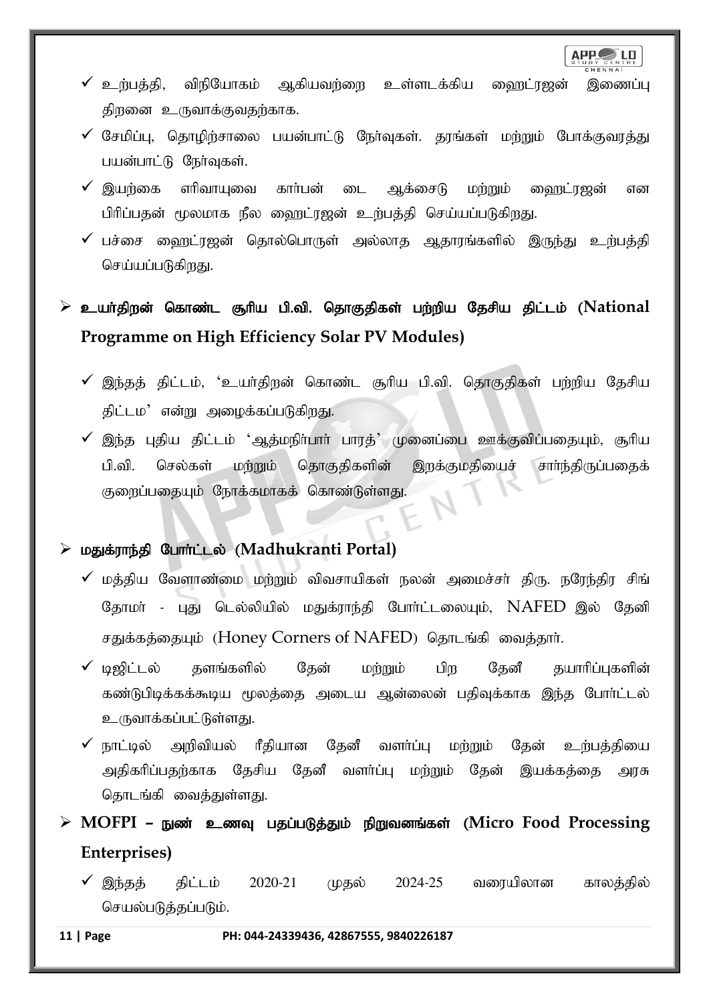**APP** LD

- $\checkmark$  உற்பத்தி, விநியோகம் ஆகியவற்றை உள்ளடக்கிய ஹைட்ரஜன் இணைப்பு திறனை உருவாக்குவதற்காக.
- $\checkmark$  சேமிப்பு, தொழிற்சாலை பயன்பாட்டு நேர்வுகள். தரங்கள் மற்றும் போக்குவரத்து பயன்பாட்டு நேர்வுகள்.
- $\checkmark$  இயற்கை எரிவாயுவை கார்பன் டை ஆக்சைடு மற்றும் வைரட்ரஜன் என பிரிப்பதன் மூலமாக நீல ஹைட்ரஜன் உற்பத்தி செய்யப்படுகிறது.
- $\checkmark$  பச்சை ஹைட்ரஜன் தொல்பொருள் அல்லாத ஆதாரங்களில் இருந்து உற்பத்தி செய்யப்படுகிறது.

## ➢ cah;jpwd; nfhz;l #hpa gp.tp. njhFjpfs; gw;wpa Njrpa jpl;lk; (**National Programme on High Efficiency Solar PV Modules)**

- $\checkmark$  இந்தத் திட்டம், 'உயர்திறன் கொண்ட சூரிய பி.வி. தொகுதிகள் பற்றிய தேசிய திட்டம' என்று அழைக்கப்படுகிறது.
- $\checkmark$  இந்த புதிய திட்டம் 'ஆத்மநிா்பாா் பாரத்' முனைப்பை ஊக்குவிப்பதையும், சூாிய பி.வி. செல்கள் மற்றும் தொகுதிகளின் இறக்குமதியைச் சாா்ந்திருப்பதைக் குறைப்பதையும் நோக்கமாகக் கொண்டுள்ளது.

### ➢ kJf;uhe;jp Nghh;l;ly; (**Madhukranti Portal)**

- $\checkmark$  மத்திய வேளாண்மை மற்றும் விவசாயிகள் நலன் அமைச்சர் திரு. நரேந்திர சிங் தோமா் - புது டெல்லியில் மதுக்ராந்தி போா்ட்டலையும், NAFED இல் தேனி சதுக்கத்தையும் (Honey Corners of NAFED) தொடங்கி வைத்தார்.
- $\checkmark$  டிஜிட்டல் தளங்களில் தேன் மற்றும் பிற தேனீ தயாரிப்புகளின் கண்டுபிடிக்கக்கூடிய மூலத்தை அடைய ஆன்லைன் பதிவுக்காக இந்த போர்ட்டல் உருவாக்கப்பட்டுள்ளது.
- $\checkmark$  நாட்டில் அறிவியல் ரீதியான தேனீ வளர்ப்பு மற்றும் தேன் உற்பத்தியை அதிகரிப்பதற்காக தேசிய தேனீ வளர்ப்பு மற்றும் தேன் இயக்கத்தை அரசு தொடங்கி வைத்துள்ளது.
- ➢ **MOFPI –** Ez; czT gjg;gLj;Jk; epWtdq;fs; (**Micro Food Processing Enterprises)**
	- ✔ இந்தத் திட்டம் 2020-21 முதல் 2024-25 வரையிலான காலத்தில் செயல்படுத்தப்படும்.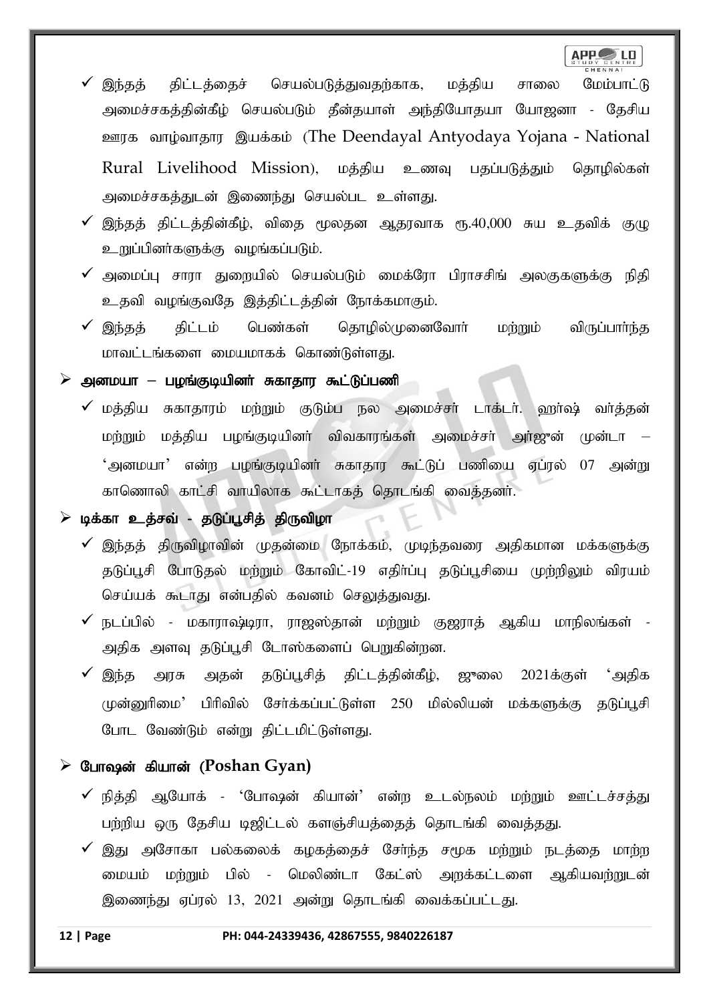- இந்தத் திட்டத்தைச் செயல்படுத்துவதற்காக, மத்திய சாலை மேம்பாட்டு அமைச்சகத்தின்கீழ் செயல்படும் தீன்தயாள் அந்தியோதயா யோஜனா - தேசிய <u>ஊரக</u> வாழ்வாதார இயக்கம் (The Deendayal Antyodaya Yojana - National Rural Livelihood Mission), மத்திய உணவு பதப்படுத்தும் தொழில்கள் அமைச்சகத்துடன் இணைந்து செயல்பட உள்ளது.
- $\checkmark$  இந்தத் திட்டத்தின்கீழ், விதை மூலதன ஆதரவாக ரூ.40,000 சுய உதவிக் குழு உறுப்பினர்களுக்கு வழங்கப்படும்.
- $\checkmark$  அமைப்பு சாரா துறையில் செயல்படும் மைக்ரோ பிராசசிங் அலகுகளுக்கு நிதி உதவி வழங்குவதே இத்திட்டத்தின் நோக்கமாகும்.
- $\checkmark$  இந்தத் திட்டம் பெண்கள் தொழில்முனைவோர் மற்றும் விருப்பார்ந்த மாவட்டங்களை மையமாகக் கொண்டுள்ளது.

அனமயா – பழங்குடியினா் சுகாதார கூட்டுப்பணி

 $\checkmark$  மத்திய சுகாதாரம் மற்றும் குடும்ப நல அமைச்சா் டாக்டா். ஹா்ஷ் வா்த்தன் மற்றும் மத்திய பழங்குடியினர் விவகாரங்கள் அமைச்சர் அர்ஜுன் முன்டா – 'அனமயா' என்ற பழங்குடியினா் சுகாதார கூட்டுப் பணியை ஏப்ரல் 07 அன்று காணொலி காட்சி வாயிலாக கூட்டாகத் தொடங்கி வைத்தனர்.

### டிக்கா உத்சவ் - தடுப்பூசித் திருவிழா

- இந்தத் திருவிழாவின் முதன்மை நோக்கம், முடிந்தவரை அதிகமான மக்களுக்கு தடுப்பூசி போடுதல் மற்றும் கோவிட்-19 எதிா்ப்பு தடுப்பூசியை முற்றிலும் விரயம் செய்யக் கூடாது என்பதில் கவனம் செலுத்துவது.
- $\checkmark$  நடப்பில் மகாராஷ்டிரா, ராஜஸ்தான் மற்றும் குஜராத் ஆகிய மாநிலங்கள் -அதிக அளவு தடுப்பூசி டோஸ்களைப் பெறுகின்றன.
- $\checkmark$  இந்த அரசு அதன் தடுப்பூசித் திட்டத்தின்கீழ், ஜுலை 2021க்குள் 'அதிக  $\mu$ ன்னுரிமை $^{\prime}$  பிரிவில் சேர்க்கப்பட்டுள்ள 250 மில்லியன் மக்களுக்கு கடுப்பூசி போட வேண்டும் என்று திட்டமிட்டுள்ளது.

### ➢ Ngh~d; fpahd; (**Poshan Gyan)**

- $\checkmark$  நித்தி ஆயோக் 'போஷன் கியான்' என்ற உடல்நலம் மற்றும் ஊட்டச்சத்து பற்றிய ஒரு தேசிய டிஜிட்டல் களஞ்சியத்தைத் தொடங்கி வைத்தது.
- இது அசோகா பல்கலைக் கழகத்தைச் சேர்ந்த சமூக மற்றும் நடத்தை மாற்ற மையம் மற்றும் பில் - மெலிண்டா கேட்ஸ் அறக்கட்டளை ஆகியவற்றுடன் இணைந்து ஏப்ரல் 13, 2021 அன்று தொடங்கி வைக்கப்பட்டது.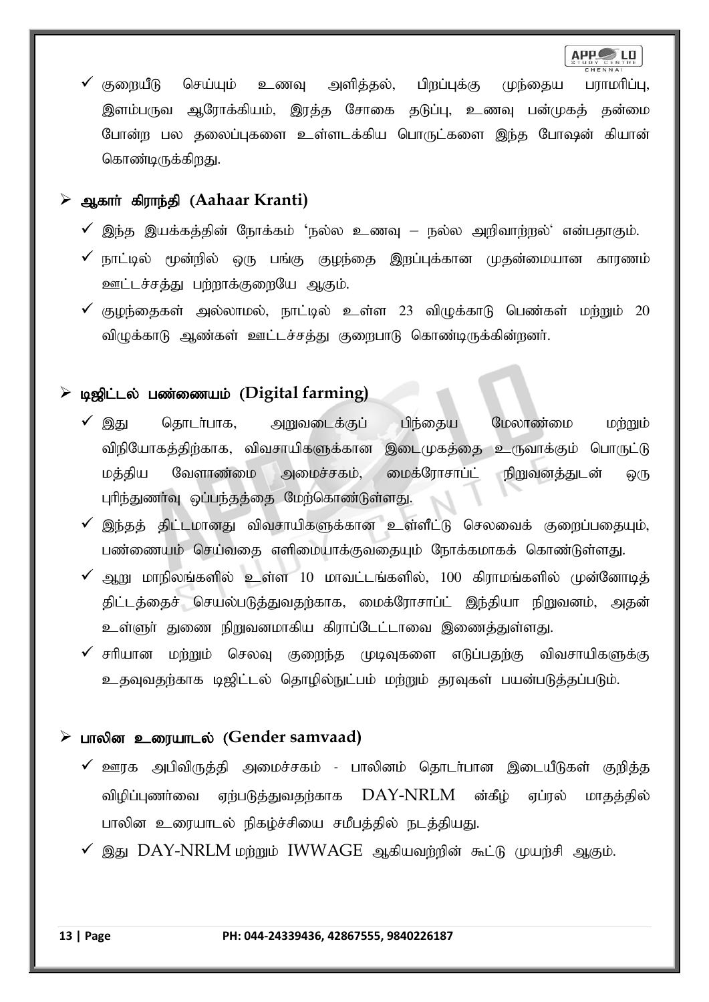$\checkmark$  குறையீடு செய்யும் உணவு அளித்தல், பிறப்புக்கு முந்தைய பராமரிப்பு, இளம்பருவ ஆரோக்கியம், இரத்த சோகை தடுப்பு, உணவு பன்முகத் தன்மை போன்ற பல தலைப்புகளை உள்ளடக்கிய பொருட்களை இந்த போஷன் கியான் கொண்டிருக்கிறது.

### ➢ Mfhh; fpuhe;jp (**Aahaar Kranti)**

- $\checkmark$  இந்த இயக்கத்தின் நோக்கம் 'நல்ல உணவு நல்ல அறிவாற்றல்' என்பதாகும்.
- $\checkmark$  நாட்டில் மூன்றில் ஒரு பங்கு குழந்தை இறப்புக்கான முதன்மையான காரணம் ஊட்டச்சத்து பற்றாக்குறையே ஆகும்.
- $\checkmark$  குழந்தைகள் அல்லாமல், நாட்டில் உள்ள 23 விழுக்காடு பெண்கள் மற்றும் 20 விழுக்காடு ஆண்கள் ஊட்டச்சத்து குறைபாடு கொண்டிருக்கின்றனர்.

### ➢ b[pl;ly ; gz;izak; (**Digital farming)**

- $\checkmark$  இது தொடா்பாக, அறுவடைக்குப் பிந்தைய மேலாண்மை மற்றும் விநியோகத்திற்காக, விவசாயிகளுக்கான இடைமுகத்தை உருவாக்கும் பொருட்டு மத்திய வேளாண்மை அமைச்சகம், மைக்ரோசாப்ட் நிறுவனத்துடன் ஒரு புரிந்துணா்வு ஒப்பந்தத்தை மேற்கொண்டுள்ளது.
- $\checkmark$  இந்தத் திட்டமானது விவசாயிகளுக்கான உள்ளீட்டு செலவைக் குறைப்பதையும், பண்ணையம் செய்வதை எளிமையாக்குவதையும் நோக்கமாகக் கொண்டுள்ளது.
- $\checkmark$  ஆறு மாநிலங்களில் உள்ள 10 மாவட்டங்களில், 100 கிராமங்களில் முன்னோடிக் திட்டத்தைச் செயல்படுத்துவதற்காக, மைக்ரோசாப்ட் இந்தியா நிறுவனம், அதன் உள்ளுர் துணை நிறுவனமாகிய கிராப்டேட்டாவை இணைத்துள்ளது.
- $\checkmark$  சரியான மற்றும் செலவு குறைந்த முடிவுகளை எடுப்பதற்கு விவசாயிகளுக்கு உதவுவதற்காக டிஜிட்டல் தொழில்நுட்பம் மற்றும் தரவுகள் பயன்படுத்தப்படும்.

### ➢ ghypd ciuahly; (**Gender samvaad)**

- $\checkmark$  ஊரக அபிவிருத்தி அமைச்சகம் பாலினம் தொடர்பான இடையீடுகள் குறித்த விழிப்புணர்வை ஏற்படுத்துவதற்காக  $\mathrm{DAY\text{-}NRLM}$  ன்கீழ் ஏப்ரல் மாதத்தில் பாலின உரையாடல் நிகழ்ச்சியை சமீபத்தில் நடத்தியது.
- $\checkmark$  இது DAY-NRLM மற்றும் IWWAGE ஆகியவற்றின் கூட்டு முயற்சி ஆகும்.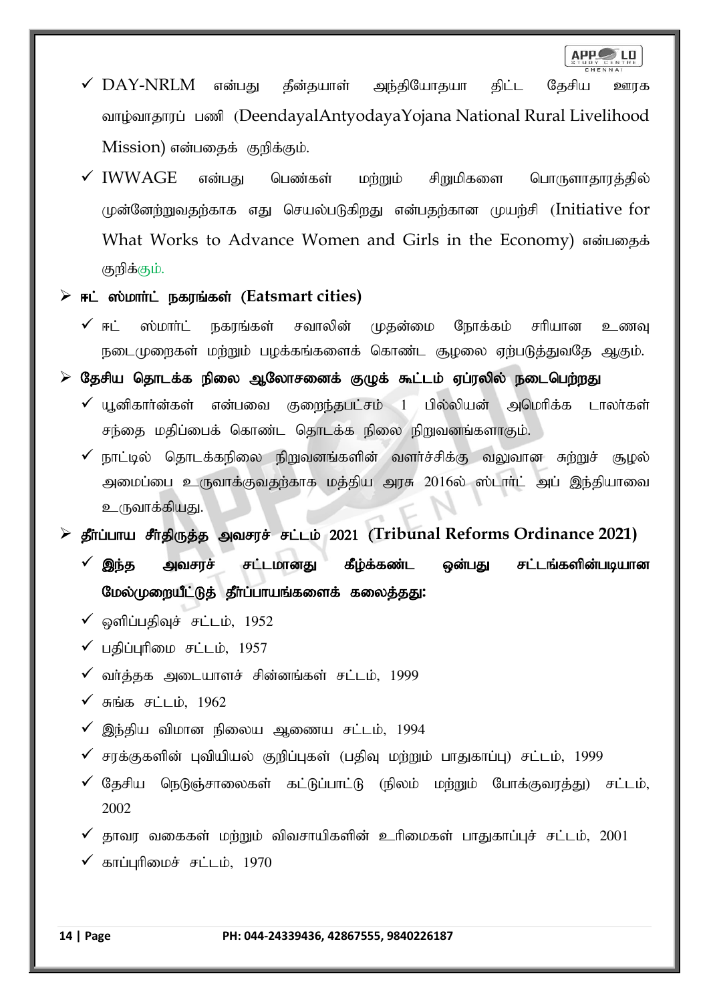- $\checkmark$  DAY-NRLM என்பது தீன்தயாள் அந்தியோதயா திட்ட தேசிய ஊரக வாழ்வாதாரப் பணி (DeendayalAntyodayaYojana National Rural Livelihood Mission) என்பதைக் குறிக்கும்.
- $\checkmark$  IWWAGE என்பது பெண்கள் மற்றும் சிறுமிகளை பொருளாதாரத்தில் முன்னேற்றுவதற்காக எது செயல்படுகிறது என்பதற்கான முயற்சி (Initiative for What Works to Advance Women and Girls in the Economy) என்பதைக் குறிக்கும்.
- **E**  $\dot{F}$  = простивности такив; (Eatsmart cities)
	- $\checkmark$  ஈட் ஸ்மார்ட் நகரங்கள் சவாலின் முதன்மை நோக்கம் சரியான உணவு நடைமுறைகள் மற்றும் பழக்கங்களைக் கொண்ட சூழலை ஏற்படுத்துவதே ஆகும்.
- $\triangleright$  தேசிய தொடக்க நிலை ஆலோசனைக் குழுக் கூட்டம் ஏப்ரலில் நடைபெற்றது
	- $\checkmark$  யுனிகார்ன்கள் என்பவை குறைந்தபட்சம் 1 பில்லியன் அமெரிக்க டாலர்கள் சந்தை மதிப்பைக் கொண்ட தொடக்க நிலை நிறுவனங்களாகும்.
	- $\checkmark$  நாட்டில் தொடக்கநிலை நிறுவனங்களின் வளர்ச்சிக்கு வலுவான சுற்றுச் சூழல் அமைப்பை உருவாக்குவதற்காக மத்திய அரசு 2016ல் ஸ்டாா்ட் அப் இந்தியாவை உருவாக்கியது.

**≻ தீர்ப்பாய சீர்திருத்த அவசரச் சட்டம் 2021 (Tribunal Reforms Ordinance 2021)** 

- $\checkmark$  இந்த அவசரச் சட்டமானது கீழ்க்கண்ட ஒன்பது சட்டங்களின்படியான மேல்முறையீட்டுத் தீர்ப்பாயங்களைக் கலைத்<u>த</u>து:
- $\checkmark$  ஒளிப்பதிவுச் சட்டம், 1952
- $\checkmark$  பதிப்புரிமை சட்டம், 1957
- வர்த்தக அடையாளச் சின்னங்கள் சட்டம், 1999
- $\checkmark$  சுங்க சட்டம், 1962
- $\checkmark$  இந்திய விமான நிலைய ஆணைய சட்டம், 1994
- $\checkmark$  சரக்குகளின் புவியியல் குறிப்புகள் (பதிவு மற்றும் பாதுகாப்பு) சட்டம், 1999
- $\checkmark$  தேசிய நெடுஞ்சாலைகள் கட்டுப்பாட்டு (நிலம் மற்றும் போக்குவரத்து) சட்டம், 2002
- $\checkmark$  தூவர வகைகள் மற்றும் விவசாயிகளின் உரிமைகள் பாதுகாப்புச் சட்டம், 2001
- $\checkmark$  காப்புரிமைச் சட்டம், 1970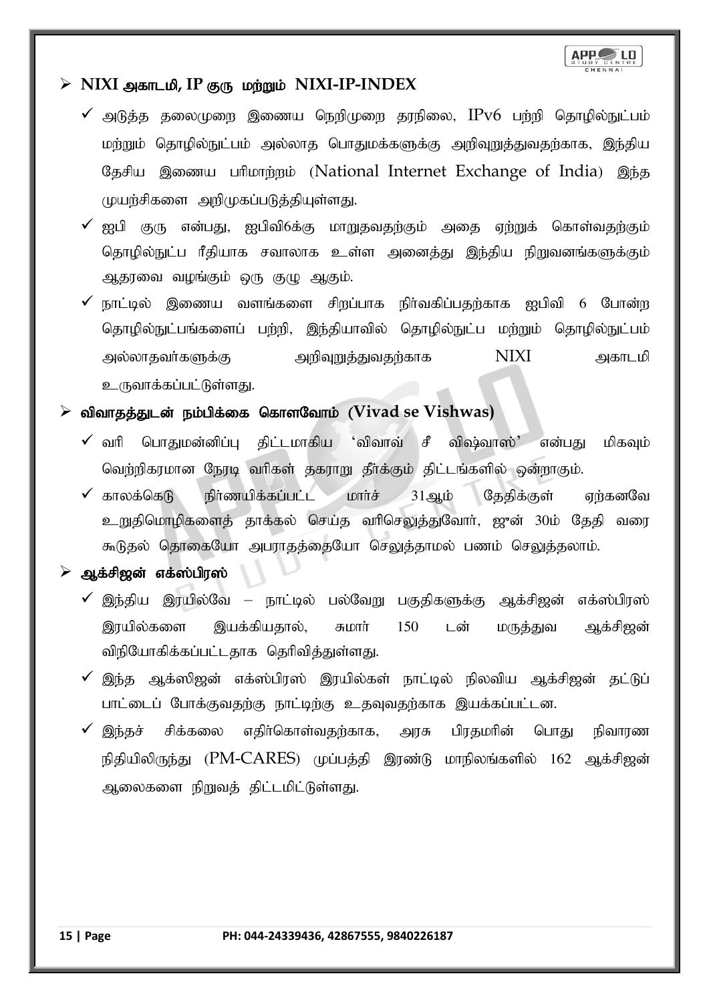

### $\triangleright$  NIXI அகாடமி, IP குரு மற்றும் NIXI-IP-INDEX

- $\checkmark$  அடுத்த தலைமுறை இணைய நெறிமுறை தரநிலை,  $\text{IPv6}}$  பற்றி தொழில்நுட்பம் மற்றும் தொழில்நுட்பம் அல்லாத பொதுமக்களுக்கு அறிவுறுத்துவதற்காக, இந்திய தேசிய இணைய பரிமாற்றம் (National Internet Exchange of India) இந்த முயற்சிகளை அறிமுகப்படுத்தியுள்ளது.
- $\checkmark$  ஐபி குரு என்பது, ஐபிவி6க்கு மாறுதவதற்கும் அதை ஏற்றுக் கொள்வதற்கும் தொழில்நுட்ப ரீதியாக சவாலாக உள்ள அனைத்து இந்திய நிறுவனங்களுக்கும் ஆதரவை வழங்கும் ஒரு குழு ஆகும்.
- நாட்டில் இணைய வளங்களை சிறப்பாக நிர்வகிப்பதற்காக ஐபிவி 6 போன்ற தொழில்நுட்பங்களைப் பற்றி, இந்தியாவில் தொழில்நுட்ப மற்றும் தொழில்நுட்பம் my;yhjth;fSf;F mwpTWj;Jtjw;fhf NIXI mfhlkp உருவாக்கப்பட்டுள்ளது.

### $\triangleright$  விவாதத்துடன் நம்பிக்கை கொளவோம் (Vivad se Vishwas)

- $\checkmark$  வரி பொகுமன்னிப்ப கிட்டமாகிய 'விவாவ் சீ விஷ்வாஸ்' என்பகு மிகவம் வெற்றிகரமான நேரடி வரிகள் தகராறு தீர்க்கும் திட்டங்களில் ஒன்றாகும்.
- $\checkmark$  காலக்கெடு நிர்ணயிக்கப்பட்ட மார்ச்  $31$ ஆம் தேதிக்குள் ஏற்கனவே உறுதிமொழிகளைத் தாக்கல் செய்த வரிசெலுத்துவோர், ஜுன் 30ம் தேதி வரை கூடுதல் தொகையோ அபராதத்தையோ செலுத்தாமல் பணம் செலுத்தலாம்.
- ஆக்சிஜன் எக்ஸ்பிரஸ்
	- $\checkmark$  இந்திய இரயில்வே நாட்டில் பல்வேறு பகுதிகளுக்கு ஆக்சிஜன் எக்ஸ்பிரஸ் இரயில்களை இயக்கியதால், சுமாா் 150 டன் மருத்துவ ஆக்சிஜன் விநியோகிக்கப்பட்டதாக தெரிவித்துள்ளது.
	- $\checkmark$  இந்த ஆக்ஸிஜன் எக்ஸ்பிரஸ் இரயில்கள் நாட்டில் நிலவிய ஆக்சிஜன் தட்டுப் பாட்டைப் போக்குவதற்கு நாட்டிற்கு உதவுவதற்காக இயக்கப்பட்டன.
	- இந்தச் சிக்கலை எதிர்கொள்வதற்காக, அரசு பிரதமரின் பொது நிவாரண நிதியிலிருந்து ( $PM\text{-}\text{CARES}$ ) முப்பத்தி இரண்டு மாநிலங்களில் 162 ஆக்சிஜன் ஆலைகளை நிறுவத் திட்டமிட்டுள்ளது.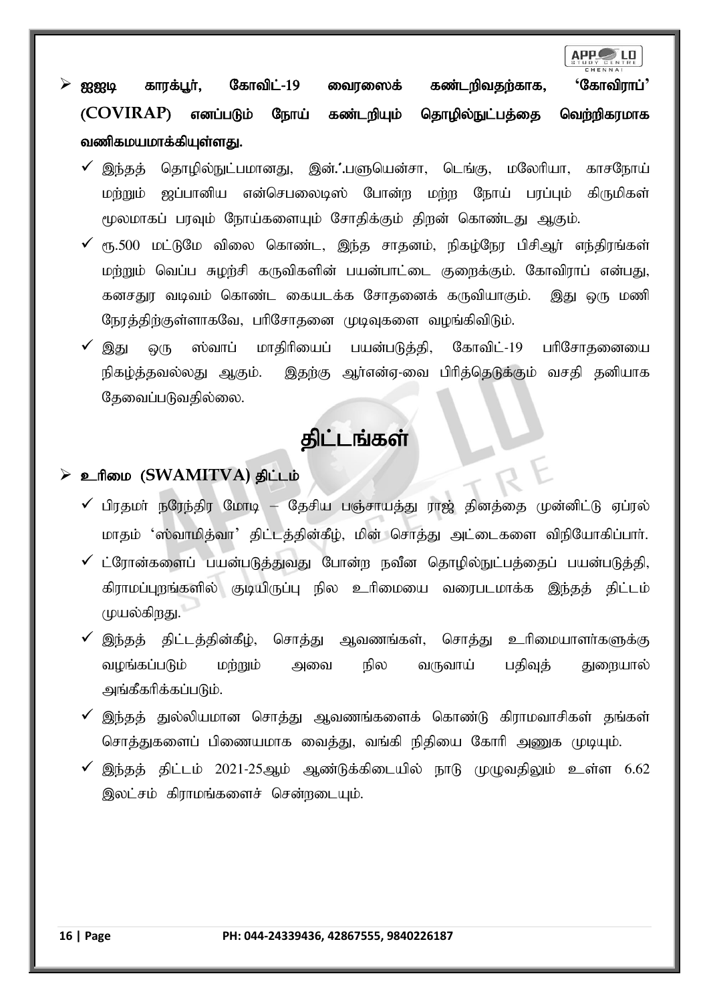ஐஐடி காரக்பூர், கோவிட்-19 வைரஸைக் கண்டறிவதற்காக, 'கோவிராப்' (COVIRAP) எனப்படும் நோய் கண்டறியும் தொழில்நுட்பத்தை வெற்றிகரமாக வணிகமயமாக்கியுள்ளது.

- இந்தத் தொழில்நுட்பமானது, இன்.'.பளுயென்சா, டெங்கு, மலேரியா, காசநோய் மற்றும் ஜப்பானிய என்செபலைடிஸ் போன்ற மற்ற நோய் பரப்பும் கிருமிகள் மூலமாகப் பரவும் நோய்களையும் சோதிக்கும் திறன் கொண்டது ஆகும்.
- $\checkmark$   $_{\rm{eff.500}}$  மட்டுமே விலை கொண்ட, இந்த சாகனம், நிகம்நோ பிசிஅர் எந்திரங்கள் மற்றும் வெப்ப சுழற்சி கருவிகளின் பயன்பாட்டை குறைக்கும். கோவிராப் என்பது, கனசதுர வடிவம் கொண்ட கையடக்க சோதனைக் கருவியாகும். இது ஒரு மணி நேரத்திற்குள்ளாகவே, பரிசோதனை முடிவுகளை வழங்கிவிடும்.
- $\checkmark$  இது ஒரு ஸ்வாப் மாதிரியைப் பயன்படுத்தி, கோவிட்-19 பரிசோதனையை நிகழ்த்தவல்லது ஆகும். இதற்கு ஆர்என்ஏ-வை பிரித்தெடுக்கும் வசதி தனியாக கேவைப்படுவதில்லை.

# திட்டங்கள்

### $\triangleright$  உரிமை (SWAMITVA) திட்டம்

- $\checkmark$  பிரதமா் நரேந்திர மோடி தேசிய பஞ்சாயத்து ராஜ் தினத்தை முன்னிட்டு ஏப்ரல் மாதம் 'ஸ்வாமித்வா' திட்டத்தின்கீழ், மின் சொத்து அட்டைகளை விநியோகிப்பார்.
- $\checkmark$  ட்ரோன்களைப் பயன்படுத்துவது போன்ற நவீன தொழில்நுட்பத்தைப் பயன்படுத்தி, கிராமப்புறங்களில் குடியிருப்பு நில உரிமையை வரைபடமாக்க இந்தத் திட்டம் முயல்கிறது.
- $\checkmark$  இந்தத் திட்டத்தின்கீழ், சொத்து ஆவணங்கள், சொத்து உரிமையாளர்களுக்கு வழங்கப்படும் மற்றும் அவை நில வருவாய் பதிவுத் துறையால் அங்கீகரிக்கப்படும்.
- $\checkmark$  இந்தத் துல்லியமான சொத்து ஆவணங்களைக் கொண்டு கிராமவாசிகள் தங்கள் சொத்துகளைப் பிணையமாக வைத்து, வங்கி நிதியை கோரி அணுக முடியும்.
- இந்தத் திட்டம் 2021-25ஆம் ஆண்டுக்கிடையில் நாடு முழுவதிலும் உள்ள 6.62 இலட்சம் கிராமங்களைச் சென்றடையும்.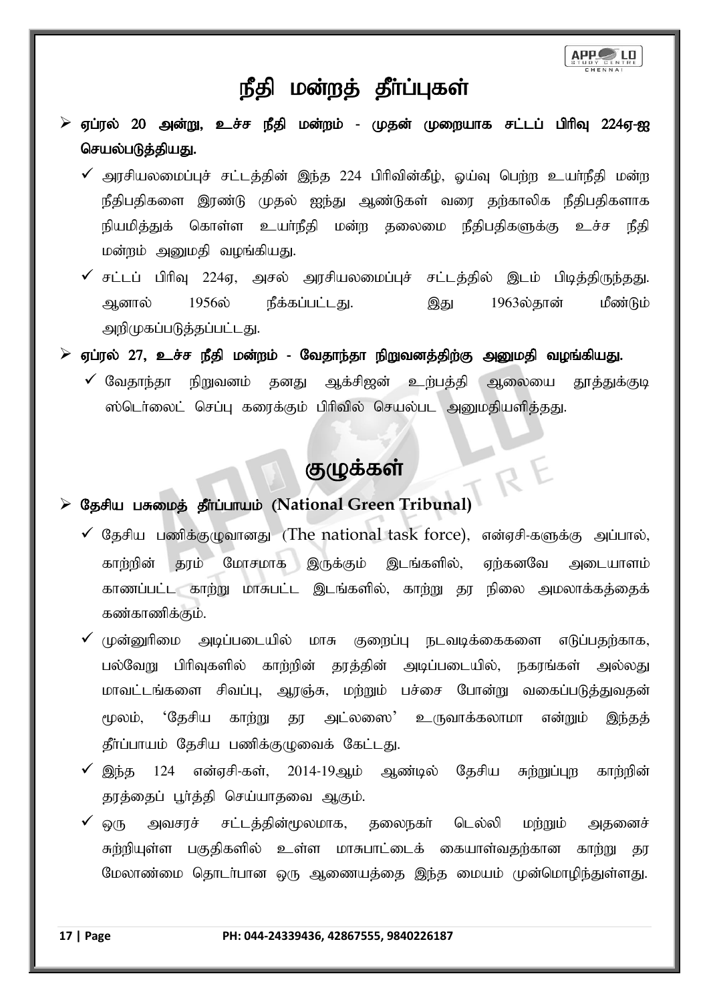

# நீதி மன்றத் தீா்ப்புகள்

- $\triangleright$  ஏப்ரல் 20 அன்று, உச்ச நீதி மன்றம் முதன் முறையாக சட்டப் பிரிவு 224ஏ-ஐ செயல்படுத்தியது.
	- $\checkmark$  அரசியலமைப்புச் சட்டத்தின் இந்த 224 பிரிவின்கீழ், ஒய்வு பெற்ற உயர்நீதி மன்ற நீதிபதிகளை இரண்டு முதல் ஐந்து ஆண்டுகள் வரை தற்காலிக நீதிபதிகளாக நியமித்துக் கொள்ள உயா்நீதி மன்ற தலைமை நீதிபதிகளுக்கு உச்ச நீதி மன்றம் அனுமதி வழங்கியது.
	- $\checkmark$  சட்டப் பிரிவு 224ஏ, அசல் அரசியலமைப்புச் சட்டத்தில் இடம் பிடித்திருந்தது. ஆனால் 1956ல் நீக்கப்பட்டது. இது 1963ல்தான் மீண்டும் அறிமுகப்படுத்தப்பட்டது.
- $\triangleright$  ஏப்ரல் 27, உச்ச நீதி மன்றம் வேதாந்தா நிறுவனத்திற்கு அனுமதி வழங்கியது.
	- $\checkmark$  வேதாந்தா நிறுவனம் தனது ஆக்சிஜன் உற்பத்தி ஆலையை தூத்துக்குடி ஸ்டெர்லைட் செப்பு கரைக்கும் பிரிவில் செயல்பட அனுமதியளித்தது.

# குழுக்கள்

R<sup></sup>

### > Съянш цяющь япониць (National Green Tribunal)

- $\checkmark$  தேசிய பணிக்குழுவானது (The national task force), என்ஏசி-களுக்கு அப்பால், காற்றின் தரம் மோசமாக இருக்கும் இடங்களில், ஏற்கனவே அடையாளம் காணப்பட்ட காற்று மாசுபட்ட இடங்களில், காற்று தர நிலை அமலாக்கத்தைக் கண்காணிக்கும்.
- $\checkmark$  (முன்னுரிமை அடிப்படையில் மாசு குறைப்பு நடவடிக்கைகளை எடுப்பதற்காக, பல்வேறு பிரிவுகளில் காற்றின் தரத்தின் அடிப்படையில், நகரங்கள் அல்லது மாவட்டங்களை சிவப்பு, ஆரஞ்சு, மற்றும் பச்சை போன்று வகைப்படுத்துவதன் மூலம், 'தேசிய காற்று தர அட்லஸை' உருவாக்கலாமா என்றும் இந்தத் தீர்ப்பாயம் தேசிய பணிக்குழுவைக் கேட்டது.
- $\checkmark$  இந்த 124 என்ஏசி-கள், 2014-19ஆம் ஆண்டில் தேசிய சுற்றுப்புற காற்றின் தரத்தைப் பூர்த்தி செய்யாதவை ஆகும்.
- ஒரு அவசரச் சட்டத்தின்மூலமாக, தலைநகர் டெல்லி மற்றும் அதனைச் சுற்றியுள்ள பகுதிகளில் உள்ள மாசுபாட்டைக் கையாள்வதற்கான காற்று தர மேலாண்மை தொடர்பான ஒரு ஆணையத்தை இந்த மையம் முன்மொழிந்துள்ளது.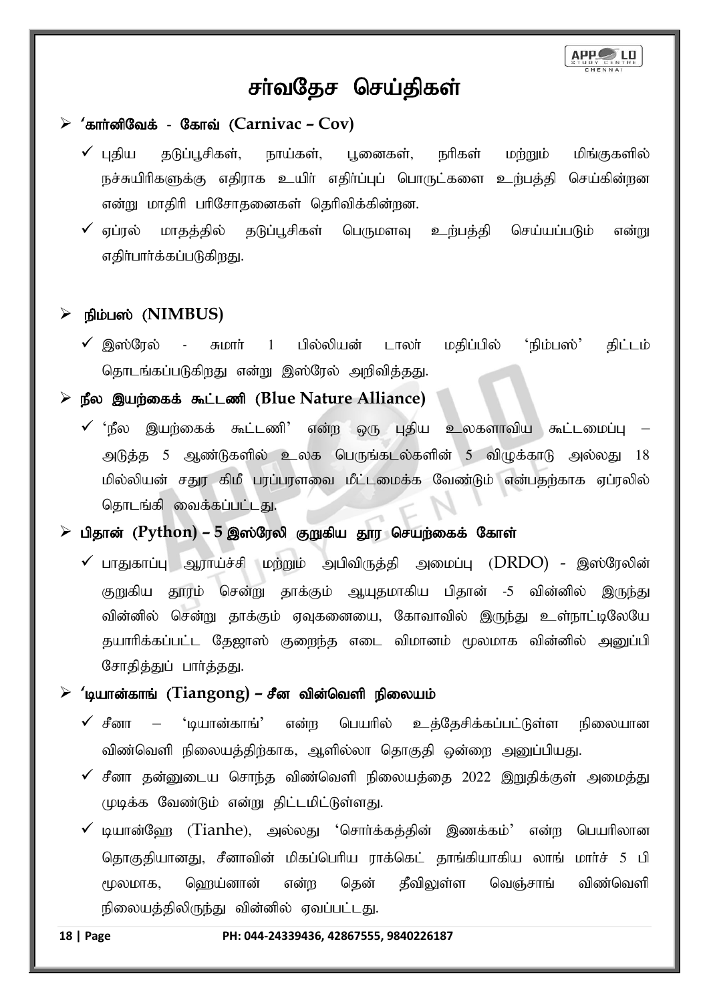

# சர்வதேச செய்திகள்

### <sup>2</sup>கார்னிவேக் - கோவ் (Carnivac – Cov)

- $\checkmark$  புதிய தடுப்பூசிகள், நாய்கள், புனைகள், நரிகள் மற்றும் மிங்குகளில் நச்சுயிரிகளுக்கு எதிராக உயிர் எதிர்ப்புப் பொருட்களை உற்பத்தி செய்கின்றன என்று மாதிரி பரிசோதனைகள் தெரிவிக்கின்றன.
- $\checkmark$  ஏப்ரல் மாதத்தில் தடுப்பூசிகள் பெருமளவு உற்பத்தி செய்யப்படும் என்று எதிர்பார்க்கப்படுகிறது.

### நிம்பஸ் (NIMBUS)

 $\checkmark$  இஸ்ரேல் - சுமார் 1 பில்லியன் டாலர் மதிப்பில் 'நிம்பஸ்' திட்டம் தொடங்கப்படுகிறது என்று இஸ்ரேல் அறிவிக்கது.

### ≽ நீல இயற்கைக் கூட்டணி (Blue Nature Alliance)

 $\checkmark$  'நீல இயற்கைக் கூட்டணி' என்ற ஒரு புதிய உலகளாவிய கூட்டமைப்பு – அடுத்த 5 ஆண்டுகளில் உலக பெருங்கடல்களின் 5 விழுக்காடு அல்லது 18 மில்லியன் சதுர கிமீ பரப்பரளவை மீட்டமைக்க வேண்டும் என்பதற்காக ஏப்ரலில் தொடங்கி வைக்கப்பட்டது.

### ➢ gpjhd; (**Python) – 5** ,];Nuyp FWfpa J}u nraw;iff; Nfhs;

 $\checkmark$  பாதுகாப்பு ஆராய்ச்சி மற்றும் அபிவிருத்தி அமைப்பு (DRDO) - இஸ்ரேலின் குறுகிய தூரம் சென்று தாக்கும் ஆயுதமாகிய பிதான் -5 வின்னில் இருந்து வின்னில் சென்று தாக்கும் ஏவுகனையை, கோவாவில் இருந்து உள்நாட்டிலேயே தயாரிக்கப்பட்ட தேஜாஸ் குறைந்த எடை விமானம் மூலமாக வின்னில் அனுப்பி சோதித்துப் பார்த்தது.

### $\triangleright$  'டியான்காங் (Tiangong) – சீன வின்வெளி நிலையம்

- $\checkmark$  சீனா 'டியான்காங்' என்ற பெயரில் உத்தேசிக்கப்பட்டுள்ள நிலையான விண்வெளி நிலையத்திற்காக, ஆளில்லா தொகுதி ஒன்றை அனுப்பியது.
- $\checkmark$  சீனா கன்னுடைய சொந்த விண்வெளி நிலையக்கை 2022 இறுகிக்குள் அமைக்கு முடிக்க வேண்டும் என்று திட்டமிட்டுள்ளது.
- $\checkmark$  டியான்ஹே (Tianhe), அல்லது 'சொர்க்கத்தின் இணக்கம்' என்ற பெயரிலான தொகுதியானது, சீனாவின் மிகப்பெரிய ராக்கெட் தாங்கியாகிய லாங் மார்ச் 5 பி மூலமாக, ஹெய்னான் என்ற தென் தீவிலுள்ள வெஞ்சாங் விண்வெளி நிலையத்திலிருந்து வின்னில் ஏவப்பட்டது.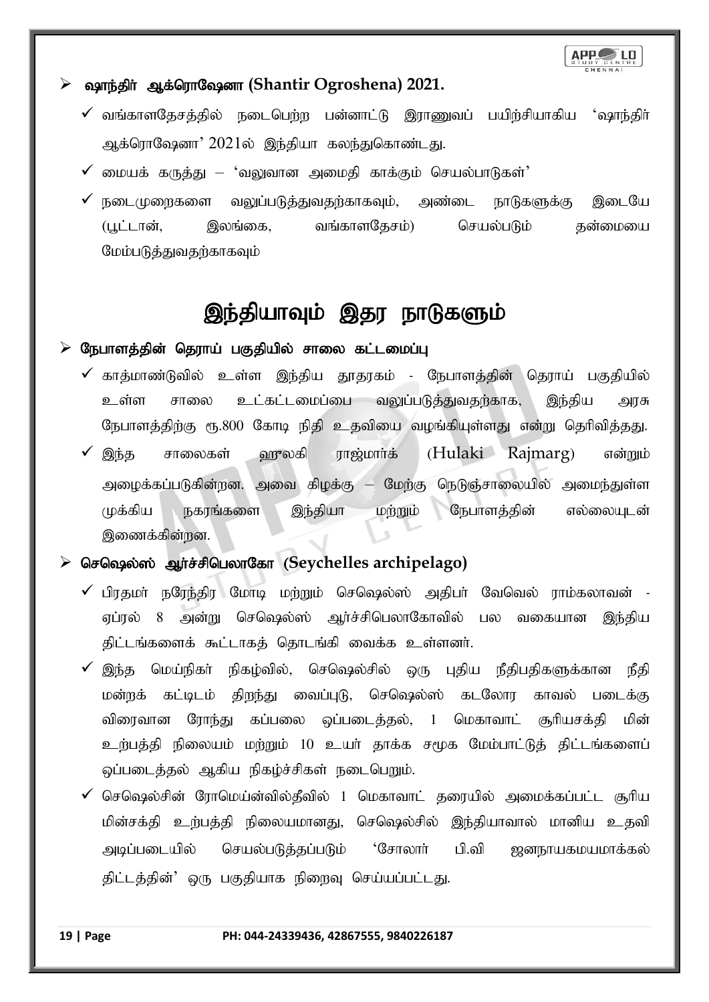

### ➢ ~he;jph ; Mf;nuhN~dh **(Shantir Ogroshena) 2021.**

- $\checkmark$  வங்காளதேசத்தில் நடைபெற்ற பன்னாட்டு இராணுவப் பயிற்சியாகிய 'ஷாந்திர் ஆக்ரொஷேனா' 2021ல் இந்தியா கலந்துகொண்டது.
- $\checkmark$  மையக் கருத்து 'வலுவான அமைதி காக்கும் செயல்பாடுகள்'
- $\checkmark$  நடைமுறைகளை வலுப்படுத்துவதற்காகவும், அண்டை நாடுகளுக்கு இடையே (பூட்டான், இலங்கை, வங்காளதேசம்) செயல்படும் தன்மையை மேம்படுத்துவதற்காகவும்

# இந்தியாவும் இதர நாடுகளும்

### $\triangleright$  நேபாளத்தின் தெராய் பகுதியில் சாலை கட்டமைப்பு

- $\checkmark$  காத்மாண்டுவில் உள்ள இந்திய தூதரகம் நேபாளத்தின் தெராய் பகுதியில் உள்ள சாலை உட்கட்டமைப்பை வலுப்படுத்துவதற்காக, இந்திய அரசு நேபாளத்திற்கு ரூ.800 கோடி நிதி உதவியை வழங்கியுள்ளது என்று தெரிவித்தது.
- $\checkmark$  இந்த சாலைகள் ஹுலகி ராஜ்மார்க் (Hulaki Rajmarg) என்றும் அழைக்கப்படுகின்றன. அவை கிழக்கு – மேற்கு நெடுஞ்சாலையில் அமைந்துள்ள முக்கிய நகரங்களை இந்தியா மற்றும் நேபாளத்தின் எல்லையுடன் இணைக்கின்றன.

### ≻ செஷெல்ஸ் ஆர்ச்சிபெலாகோ (Seychelles archipelago)

- $\checkmark$  பிரதமர் நரேந்திர மோடி மற்றும் செஷெல்ஸ் அதிபர் வேவெல் ராம்கலாவன் -ஏப்ரல் 8 அன்று செஷெல்ஸ் ஆர்ச்சிபெலாகோவில் பல வகையான இந்திய திட்டங்களைக் கூட்டாகத் தொடங்கி வைக்க உள்ளனர்.
- $\checkmark$  இந்த மெய்நிகர் நிகழ்வில், செஷெல்சில் ஒரு புதிய நீதிபதிகளுக்கான நீதி மன்றக் கட்டிடம் திறந்து வைப்புடு, செஷெல்ஸ் கடலோர காவல் படைக்கு விரைவான ரோந்து கப்பலை ஒப்படைத்தல், 1 மெகாவாட் சூரியசக்தி மின் உற்பத்தி நிலையம் மற்றும் 10 உயர் தாக்க சமூக மேம்பாட்டுத் திட்டங்களைப் ஒப்படைத்தல் ஆகிய நிகழ்ச்சிகள் நடைபெறும்.
- $\checkmark$  செஷெல்சின் ரோமெய்ன்வில்தீவில் 1 மெகாவாட் தரையில் அமைக்கப்பட்ட சூரிய மின்சக்தி உற்பத்தி நிலையமானது, செஷெல்சில் இந்தியாவால் மானிய உதவி அடிப்படையில் செயல்படுத்தப்படும் 'சோலாா் பி.வி ஜனநாயகமயமாக்கல் திட்டத்தின்' ஒரு பகுதியாக நிறைவு செய்யப்பட்டது.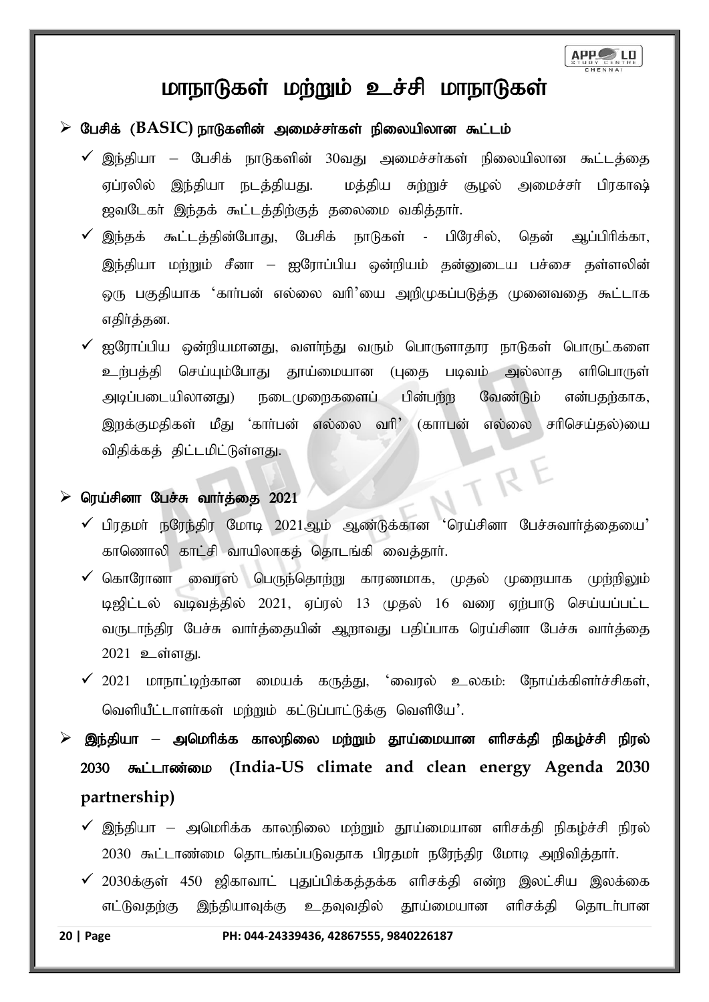# மாநாடுகள் மற்றும் உச்சி மாநாடுகள்

- $\triangleright$  பேசிக் ( $\text{BASIC}$ ) நாடுகளின் அமைச்சர்கள் நிலையிலான கூட்டம்
	- $\checkmark$  இந்தியா பேசிக் நாடுகளின் 30வது அமைச்சர்கள் நிலையிலான கூட்டத்தை ஏப்ரலில் இந்தியா நடத்தியது. மத்திய சுற்றுச் சூழல் அமைச்சர் பிரகாஷ் ஜவடேகா் இந்தக் கூட்டத்திற்குத் தலைமை வகித்தாா்.
	- $\checkmark$  இந்தக் கூட்டத்தின்போது, பேசிக் நாடுகள் பிரேசில், தென் ஆப்பிரிக்கா, இந்தியா மற்றும் சீனா — ஐரோப்பிய ஒன்றியம் தன்னுடைய பச்சை தள்ளலின் டைந பகுதியாக 'கார்பன் எல்லை வரி'யை அறிமுகப்படுத்த முனைவதை கூட்டாக எதிர்த்தன.
	- $\checkmark$  ஐரோப்பிய ஒன்றியமானது, வளர்ந்து வரும் பொருளாதார நாடுகள் பொருட்களை உற்பத்தி செய்யும்போது தூய்மையான (புதை படிவம் அல்லாத எரிபொருள் அடிப்படையிலானது) நடைமுறைகளைப் பின்பற்ற வேண்டும் என்பதற்காக, இருக்குமதிகள் மீது 'கார்பன் எல்லை வரி' (காாபன் எல்லை சரிசெய்தல்)யை விதிக்கத் திட்டமிட்டுள்ளது.

### $\triangleright$  ரெய்சினா பேச்சு வார்த்தை  $2021$

- $\checkmark$  பிரதமா் நரேந்திர மோடி 2021ஆம் ஆண்டுக்கான 'ரெய்சினா பேச்சுவாா்த்தையை' காணொலி காட்சி வாயிலாகத் தொடங்கி வைத்தார்.
- $\checkmark$  கொரோனா வைரஸ் பெருந்தொற்று காரணமாக, முதல் முறையாக முற்றிலும் டிஜிட்டல் வடிவத்தில் 2021, ஏப்ரல் 13 முதல் 16 வரை ஏற்பாடு செய்யப்பட்ட வருடாந்திர பேச்சு வார்த்தையின் ஆறாவது பதிப்பாக ரெய்சினா பேச்சு வார்த்தை 2021 உள்ளது.
- $\checkmark$  2021 மாநாட்டிற்கான மையக் கருத்து, 'வைரல் உலகம்: நோய்க்கிளர்ச்சிகள், வெளியீட்டாளர்கள் மற்றும் கட்டுப்பாட்டுக்கு வெளியே'.
- இந்தியா அமெரிக்க காலநிலை மற்றும் தூய்மையான ளிசக்தி நிகழ்ச்சி நிரல் 2030  $\delta$ <sub>u</sub>LIT amos (India-US climate and clean energy Agenda 2030 **partnership)**
	- $\checkmark$  இந்தியா அமெரிக்க காலநிலை மற்றும் தூய்மையான எரிசக்தி நிகழ்ச்சி நிரல் 2030 கூட்டாண்மை தொடங்கப்படுவதாக பிரதமர் நரேந்திர மோடி அறிவித்தார்.
	- $\checkmark$  2030க்குள் 450 ஜிகாவாட் புதுப்பிக்கத்தக்க எரிசக்தி என்ற இலட்சிய இலக்கை எட்டுவதற்கு இந்தியாவுக்கு உதவுவதில் தூய்மையான எரிசக்தி தொடர்பான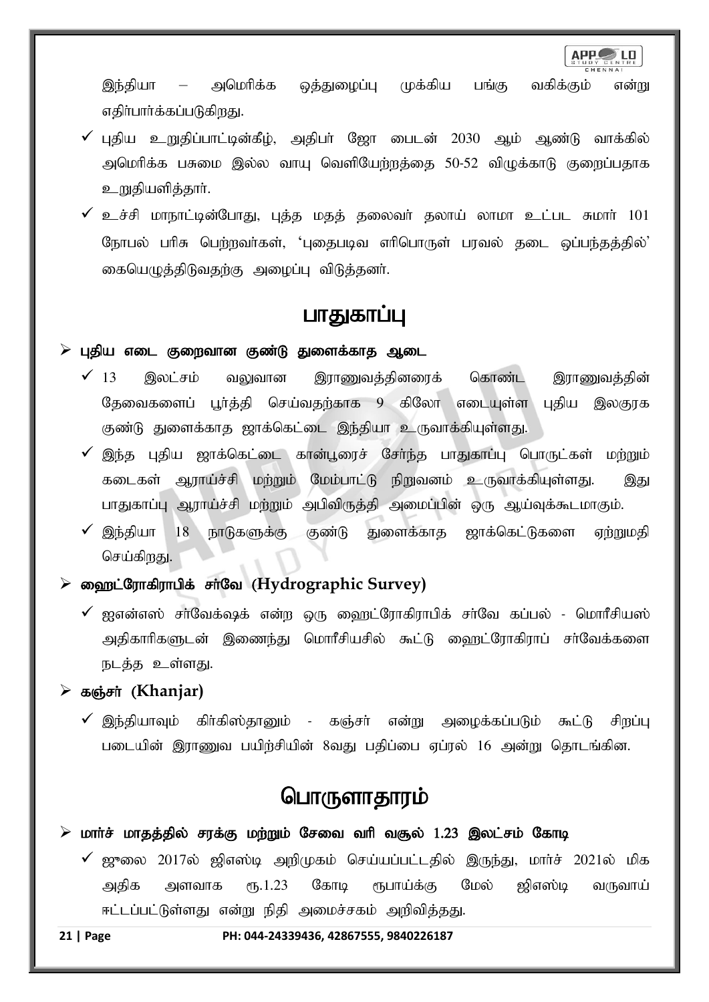

இந்தியா – அமெரிக்க ஒத்துழைப்பு முக்கிய பங்கு வகிக்கும் என்று எதிர்பார்க்கப்படுகிறது.

- $\checkmark$  புதிய உறுதிப்பாட்டின்கீழ், அதிபர் ஜோ பைடன் 2030 ஆம் ஆண்டு வாக்கில் அமெரிக்க பசுமை இல்ல வாய வெளியேற்றக்கை 50-52 விமுக்காடு குறைப்பதாக உறுதியளித்தார்.
- $\checkmark$  உச்சி மாநாட்டின்போது, புத்த மதத் தலைவர் தலாய் லாமா உட்பட சுமார் 101 நோபல் பரிசு பெற்றவர்கள், 'புதைபடிவ எரிபொருள் பரவல் தடை ஒப்பந்தத்தில்' கையெழுத்திடுவதற்கு அழைப்பு விடுத்தனர்.

### பாதுகாப்பு

### புதிய எடை குறைவான குண்டு துளைக்காத ஆடை

- $\checkmark$  13 இலட்சம் வலுவான இராணுவத்தினரைக் கொண்ட இராணுவத்தின் தேவைகளைப் பூர்த்தி செய்வதற்காக 9 கிலோ எடையுள்ள புதிய இலகுரக குண்டு துளைக்காத ஜாக்கெட்டை இந்தியா உருவாக்கியுள்ளது.
- $\checkmark$  இந்த புதிய ஜாக்கெட்டை கான்பூரைச் சேர்ந்த பாதுகாப்பு பொருட்கள் மற்றும் கடைகள் ஆராய்ச்சி மற்றும் மேம்பாட்டு நிறுவனம் உருவாக்கியுள்ளது. இது பாதுகாப்பு ஆராய்ச்சி மற்றும் அபிவிருத்தி அமைப்பின் ஒரு ஆய்வுக்கூடமாகும்.
- $\checkmark$  இந்தியா  $18$  நாடுகளுக்கு குண்டு துளைக்காத ஜாக்கெட்டுகளை ஏற்றுமதி செய்கிரகுட

➢ i`l;Nuhfpuhgpf; rh;Nt (**Hydrographic Survey)**

 $\checkmark$  ஐஎன்எஸ் சர்வேக்ஷக் என்ற ஒரு ஹைட்ரோகிராபிக் சர்வே கப்பல் - மொரீசியஸ் அதிகாரிகளுடன் இணைந்து மொரீசியசில் கூட்டு வைரட்ரோகிராப் சர்வேக்களை நடத்த உள்ளது.

#### ➢ fQ;rh; (**Khanjar)**

 $\checkmark$  இந்தியாவும் கிர்கிஸ்தானும் - கஞ்சர் என்று அழைக்கப்படும் கூட்டு சிறப்பு படையின் இராணுவ பயிற்சியின் 8வது பதிப்பை ஏப்ரல் 16 அன்று தொடங்கின.

# பொருளாதாரம்

### $\triangleright$  மார்ச் மாதத்தில் சரக்கு மற்றும் சேவை வரி வசூல் 1.23 இலட்சம் கோடி

 $\checkmark$  ஜுலை 2017ல் ஜிஎஸ்டி அறிமுகம் செய்யப்பட்டதில் இருந்து, மார்ச் 2021ல் மிக அதிக அளவாக ரூ.1.23 கோடி ரூபாய்க்கு மேல் ஜிஎஸ்டி வருவாய் ஈட்டப்பட்டுள்ளது என்று நிதி அமைச்சகம் அறிவித்தது.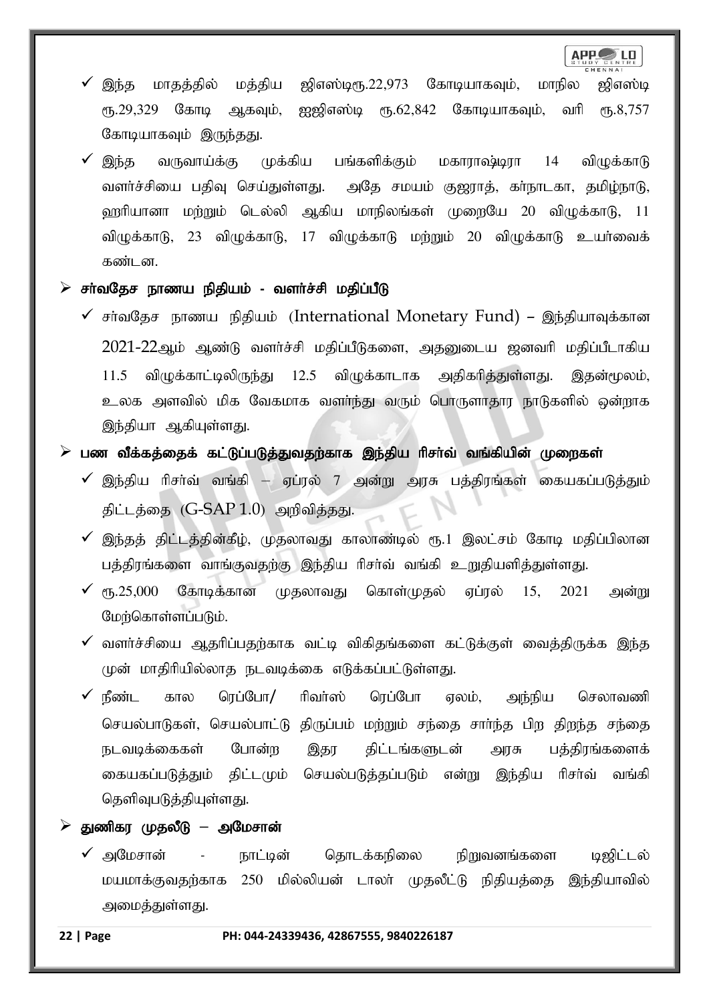- இந்த மாதத்தில் மத்திய ஜிஎஸ்டிரு.22,973 கோடியாகவும், மாநில ஜிஎஸ்டி ரூ.29,329 கோடி ஆகவும், ஐஜிஎஸ்டி ரூ.62,842 கோடியாகவும், வரி ரூ.8,757 கோடியாகவும் இருந்தது.
- $\checkmark$  இந்த வருவாய்க்கு முக்கிய பங்களிக்கும் மகாராஷ்டிரா 14 விழுக்காடு வளர்ச்சியை பதிவு செய்துள்ளது. அதே சமயம் குஜராத், கா்நாடகா, தமிழ்நாடு, ஹரியானா மற்றும் டெல்லி ஆகிய மாநிலங்கள் முறையே 20 விழுக்காடு, 11 விமுக்காடு, 23 விழுக்காடு, 17 விழுக்காடு மற்றும் 20 விழுக்காடு உயர்வைக் கண்டன.
- $\triangleright$  சா்வதேச நாணய நிதியம் வளா்ச்சி மதிப்பீடு
	- $\checkmark$  சர்வதேச நாணய நிதியம் (International Monetary Fund) இந்தியாவுக்கான 2021-22ஆம் ஆண்டு வளர்ச்சி மதிப்பீடுகளை, அதனுடைய ஜனவரி மதிப்பீடாகிய  $11.5$  விழுக்காட்டிலிருந்து  $12.5$  விழுக்காடாக அதிகரித்துள்ளது. இதன்மூலம், உலக அளவில் மிக வேகமாக வளர்ந்து வரும் பொருளாதார நாடுகளில் ஒன்றாக இந்தியா ஆகியுள்ளது.
- $\triangleright$  பண வீக்கத்தைக் கட்டுப்படுத்துவதற்காக இந்திய ரிசா்வ் வங்கியின் முறைகள்
	- $\checkmark$  இந்திய ரிசா்வ் வங்கி ஏப்ரல் 7 அன்று அரசு பத்திரங்கள் கையகப்படுத்தும் திட்டத்தை  $(G-SAP 1.0)$  அறிவித்தது.
	- $\checkmark$  இந்தத் திட்டத்தின்கீழ், முதலாவது காலாண்டில் ரூ.1 இலட்சம் கோடி மதிப்பிலான பத்திரங்களை வாங்குவதற்கு இந்திய ரிசா்வ் வங்கி உறுதியளித்துள்ளது.
	- $\checkmark$  ரூ.25,000 கோடிக்கான முதலாவது கொள்முதல் ஏப்ரல் 15, 2021 அன்று மேற்கொள்ளப்படும்.
	- $\checkmark$  வளர்ச்சியை ஆதரிப்பதற்காக வட்டி விகிதங்களை கட்டுக்குள் வைத்திருக்க இந்த முன் மாதிரியில்லாத நடவடிக்கை எடுக்கப்பட்டுள்ளது.
	- $\checkmark$  நீண்ட கால ரெப்போ $/$  ரிவா்ஸ் ரெப்போ ஏலம், அந்நிய செலாவணி செயல்பாடுகள், செயல்பாட்டு திருப்பம் மற்றும் சந்தை சாா்ந்த பிற திறந்த சந்தை நடவடிக்கைகள் போன்ற இதர திட்டங்களுடன் அரசு பத்திரங்களைக் கையகப்படுத்தும் திட்டமும் செயல்படுத்தப்படும் என்று இந்திய ரிசர்வ் வங்கி தெளிவுபடுத்தியுள்ளது.
- $\triangleright$  துணிகர முதலீடு அமேசான்
	- $\checkmark$  அமேசான் நாட்டின் தொடக்கநிலை நிறுவனங்களை டிஜிட்டல் மயமாக்குவதற்காக 250 மில்லியன் டாலா் முதலீட்டு நிதியத்தை இந்தியாவில் அமைத்துள்ளது.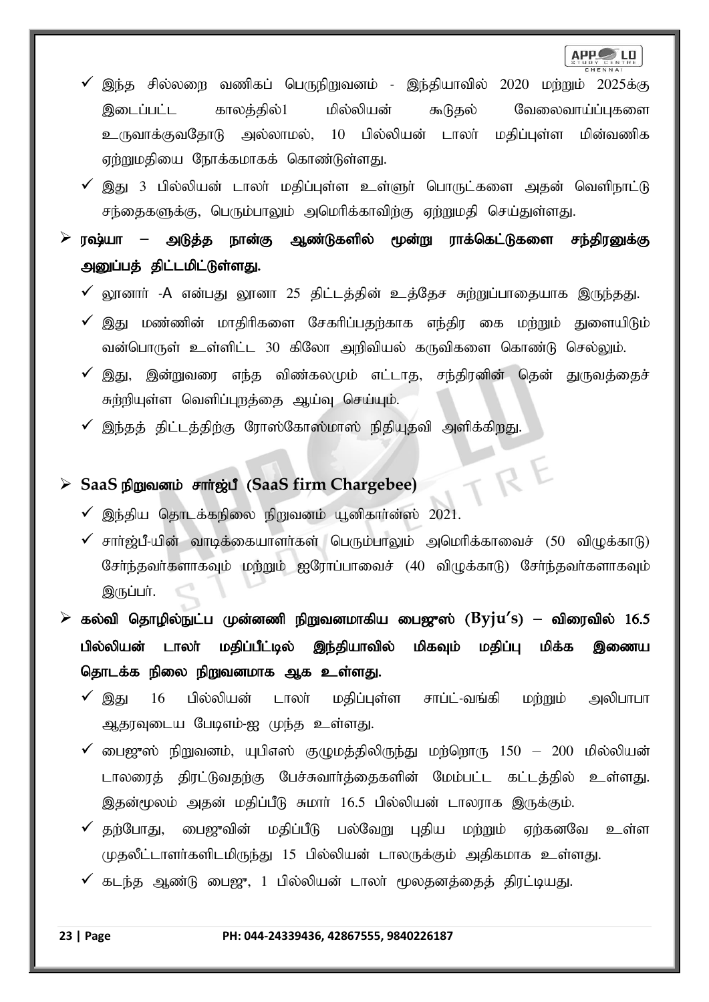RE

- இந்த சில்லறை வணிகப் பெருநிறுவனம் இந்தியாவில் 2020 மற்றும் 2025க்கு இடைப்பட்ட காலத்தில்1 மில்லியன் கூடுதல் வேலைவாய்ப்புகளை உருவாக்குவதோடு அல்லாமல், 10 பில்லியன் டாலா் மதிப்புள்ள மின்வணிக ஏற்றுமதியை நோக்கமாகக் கொண்டுள்ளது.
- $\checkmark$  இது 3 பில்லியன் டாலா் மதிப்புள்ள உள்ளுா் பொருட்களை அதன் வெளிநாட்டு சந்தைகளுக்கு, பெரும்பாலும் அமெரிக்காவிற்கு ஏற்றுமதி செய்துள்ளது.
- $\triangleright$  ரஷ்யா அடுத்த நான்கு ஆண்டுகளில் மூன்று ராக்கெட்டுகளை சந்திரனுக்கு அனுப்பத் திட்டமிட்டுள்ளது.
	- $\checkmark$  லூனாா் -A என்பது லூனா 25 திட்டத்தின் உத்தேச சுற்றுப்பாதையாக இருந்தது.
	- $\checkmark$  இது மண்ணின் மாகிரிகளை சேகரிப்பகர்காக எந்கிர கை மர்மும் குணையிடும் வன்பொருள் உள்ளிட்ட 30 கிலோ அறிவியல் கருவிகளை கொண்டு செல்லும்.
	- $\checkmark$  இது, இன்றுவரை எந்த விண்கலமும் எட்டாத, சந்திரனின் தென் துருவத்தைச் சுற்றியுள்ள வெளிப்புறத்தை ஆய்வு செய்யும்.
	- $\checkmark$  இந்தத் திட்டத்திற்கு ரோஸ்கோஸ்மாஸ் நிதியுதவி அளிக்கிறது.

### ≻ SaaS நிறுவனம் சார்ஜ்பீ (SaaS firm Chargebee)

- $\checkmark$  இந்திய தொடக்கநிலை நிறுவனம் யூனிகார்ன்ஸ் 2021.
- $\checkmark$  சார்ஜ்பீ-யின் வாடிக்கையாளர்கள் பெரும்பாலும் அமெரிக்காவைச் (50 விமுக்காடு) சேர்ந்தவர்களாகவும் மற்றும் ஐரோப்பாவைச் (40 விழுக்காடு) சேர்ந்தவர்களாகவும் இருப்பர்.

 $\triangleright$  கல்வி தொழில்நுட்ப முன்னணி நிறுவனமாகிய பைஜுஸ் ( $\text{B}$ y $\text{j}u\text{'s})$  – விரைவில் 16.5 பில்லியன் டாலா் மகிப்பீட்டில் இந்கியாவில் மிகவும் மகிப்பு மிக்க இணைய தொடக்க நிலை நிறுவனமாக ஆக உள்ளது.

- $\checkmark$  இது 16 பில்லியன் டாலா் மதிப்புள்ள சாப்ட்-வங்கி மற்றும் அலிபாபா அதரவுடைய பேடிஎம்-ஐ முந்த உள்ளது.
- $\checkmark$  பைஜுஸ் நிறுவனம், யுபிஎஸ் குழுமத்திலிருந்து மற்றொரு  $150 200$  மில்லியன் டாலரைத் திரட்டுவதற்கு பேச்சுவார்த்தைகளின் மேம்பட்ட கட்டத்தில் உள்ளது. இதன்மூலம் அதன் மதிப்பீடு சுமார் 16.5 பில்லியன் டாலராக இருக்கும்.
- $\checkmark$  தற்போது, பைஜுவின் மதிப்பீடு பல்வேறு புதிய மற்றும் ஏற்கனவே உள்ள முதலீட்டாளர்களிடமிருந்து 15 பில்லியன் டாலருக்கும் அதிகமாக உள்ளது.
- $\checkmark$  கடந்த ஆண்டு பைஜு, 1 பில்லியன் டாலா் மூலதனத்தைத் திரட்டியது.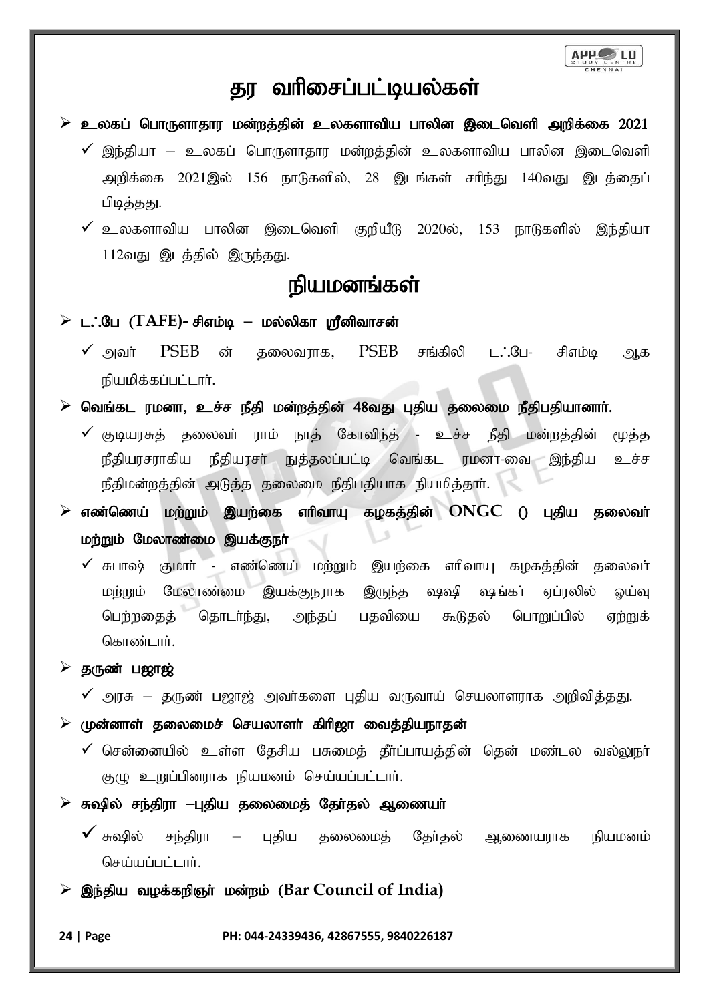

### தர வரிசைப்பட்டியல்கள்

- $\triangleright$  உலகப் பொருளாதார மன்றத்தின் உலகளாவிய பாலின இடைவெளி அறிக்கை 2021
	- $\checkmark$  இந்தியா உலகப் பொருளாதார மன்றத்தின் உலகளாவிய பாலின இடைவெளி அறிக்கை 2021இல் 156 நாடுகளில், 28 இடங்கள் சரிந்து 140வது இடக்கைப் பிடித்தது.
	- $\checkmark$  உலகளாவிய பாலின இடைவெளி குறியீடு 2020ல், 153 நாடுகளில் இந்தியா  $112$ வது இடத்தில் இருந்தது.

# நியமனங்கள்

### $\triangleright$  **ட.** :பே (TAFE)- சிஎம்டி – மல்லிகா ஸ்ரீனிவாசன்

- $\checkmark$  அவர்  $PSEB$  ன் தலைவராக,  $PSEB$  சங்கிலி ட $\dot{o}$ .பே- சிஎம்டி ஆக நியமிக்கப்பட்டார்.
- $\triangleright$  வெங்கட ரமனா, உச்ச நீதி மன்றத்தின் 48வது புதிய தலைமை நீதிபதியானார்.
	- $\checkmark$  குடியரசுத் தலைவா் ராம் நாத் கோவிந்த் உச்ச நீதி மன்றத்தின் மூத்த நீதியரசராகிய நீதியரசா் நுத்தலப்பட்டி வெங்கட ரமனா-வை இந்திய உச்ச நீதிமன்றத்தின் அடுத்த தலைமை நீதிபதியாக நியமித்தாா்.
- $\triangleright$  எண்ணெய் மற்றும் இயற்கை ளிவாயு கழகத்தின்  $\mathrm{ONGC}$  () புதிய தலைவா் மற்றும் மேலாண்மை இயக்குநா்
	- $\checkmark$  சுபாஷ் குமார் எண்ணெய் மற்றும் இயற்கை எரிவாயு கழகத்தின் தலைவர் மற்றும் மேலாண்மை இயக்குநராக இருந்த ஷஷி ஷங்கா் ஏப்ரலில் ஓய்வு பெற்றதைத் தொடர்ந்து, அந்தப் பதவியை கூடுதல் பொறுப்பில் ஏற்றுக் கொண்டார்.

### $\triangleright$  தருண் பஜாஜ்

 $\checkmark$  அரசு – தருண் பஜாஜ் அவர்களை புதிய வருவாய் செயலாளராக அறிவித்தது.

 $\triangleright$  முன்னாள் தலைமைச் செயலாளர் கிரிஜா வைத்தியநாதன்

- $\checkmark$  சென்னையில் உள்ள தேசிய பசுமைத் தீர்ப்பாயத்தின் தென் மண்டல வல்லுநா் குழு உறுப்பினராக நியமனம் செய்யப்பட்டார்.
- ➢ R~py; re;jpuh **–**Gjpa jiyikj; Njh;jy ; Mizah;
	- $\checkmark$  சுஷில் சந்திரா புதிய தலைமைத் தேர்தல் ஆணையராக நியமனம் செய்யப்பட்டார்.
- ≽ இந்திய வழக்கறிஞர் மன்றம் (Bar Council of India)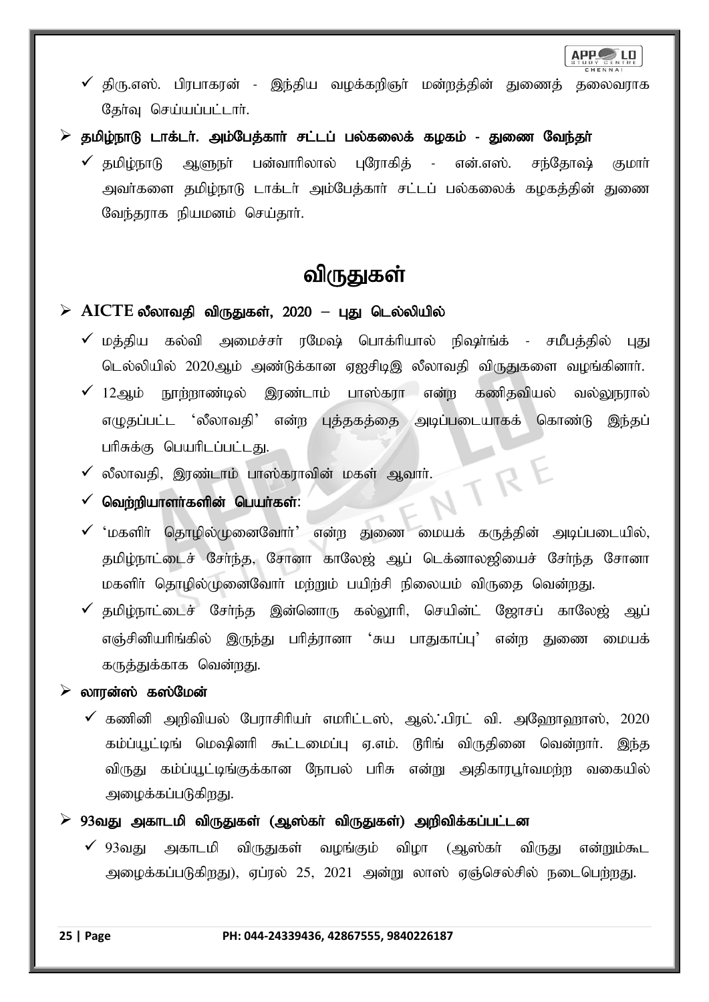

- $\checkmark$  திரு.எஸ். பிரபாகரன் இந்திய வழக்கறிஞர் மன்றத்தின் துணைத் தலைவராக தேர்வு செய்யப்பட்டார்.
- $\triangleright$  தமிழ்நாடு டாக்டர். அம்பேத்கார் சட்டப் பல்கலைக் கழகம் துணை வேந்தர்
	- $\checkmark$  தமிழ்நாடு ஆளுநா் பன்வாரிலால் புரோகித் என்.எஸ். சந்தோஷ் குமாா் அவர்களை தமிழ்நாடு டாக்டர் அம்பேத்கார் சட்டப் பல்கலைக் கழகத்தின் துணை வேந்தராக நியமனம் செய்தார்.

# விருதுகள்

### ➢ **AICTE** yPyhtjp tpUJfs;> 2020 **–** GJ nly;ypapy ;

- $\checkmark$  மத்திய கல்வி அமைச்சா் ரமேஷ் பொக்ாியால் நிஷா்ங்க் சமீபத்தில் புது டெல்லியில் 2020ஆம் அண்டுக்கான ஏஐசிடிஇ லீலாவதி விருதுகளை வழங்கினார்.
- $\checkmark$  12ஆம் நூற்றாண்டில் இரண்டாம் பாஸ்கரா என்ற கணிதவியல் வல்லுநரால் எழுதப்பட்ட 'லீலாவதி' என்ற புத்தகத்தை அடிப்படையாகக் கொண்டு இந்தப் பரிசுக்கு பெயரிடப்பட்டது.

TR

- $\checkmark$  லீலாவதி, இரண்டாம் பாஸ்கராவின் மகள் ஆவார்.
- $\checkmark$  வெற்றியாளர்களின் பெயர்கள்:
- $\checkmark$  'மகளிர் தொழில்முனைவோர்' என்ற துணை மையக் கருத்தின் அடிப்படையில், தமிழ்நாட்டைச் சேர்ந்த, சோனா காலேஜ் ஆப் டெக்னாலஜியைச் சேர்ந்த சோனா மகளிர் தொழில்முனைவோர் மற்றும் பயிற்சி நிலையம் விருதை வென்றது.
- $\checkmark$  தமிழ்நாட்டைச் சேர்ந்த இன்னொரு கல்லூரி, செயின்ட் ஜோசப் காலேஜ் ஆப் எஞ்சினியரிங்கில் இருந்து பரித்ரானா 'சுய பாதுகாப்பு' என்ற துணை மையக் கருத்துக்காக வென்றது.

### $\triangleright$  லாரன்ஸ் கஸ்மேன்

- $\checkmark$  கணினி அறிவியல் பேராசிரியர் எமரிட்டஸ், ஆல். பிரட் வி. அஹோஹாஸ், 2020 கம்ப்யூட்டிங் மெஷினரி கூட்டமைப்பு ஏ.எம். டூரிங் விருதினை வென்றார். இந்த விருது கம்ப்யூட்டிங்குக்கான நோபல் பரிசு என்று அதிகாரபூர்வமற்ற வகையில் அழைக்கப்படுகிறது.
- $\triangleright$  93வது அகாடமி விருதுகள் (ஆஸ்கா் விருதுகள்) அறிவிக்கப்பட்டன
	- $\checkmark$  93வது அகாடமி விருதுகள் வழங்கும் விழா (ஆஸ்கா் விருது என்றும்கூட அழைக்கப்படுகிறது), ஏப்ரல் 25, 2021 அன்று லாஸ் ஏஞ்செல்சில் நடைபெற்றது.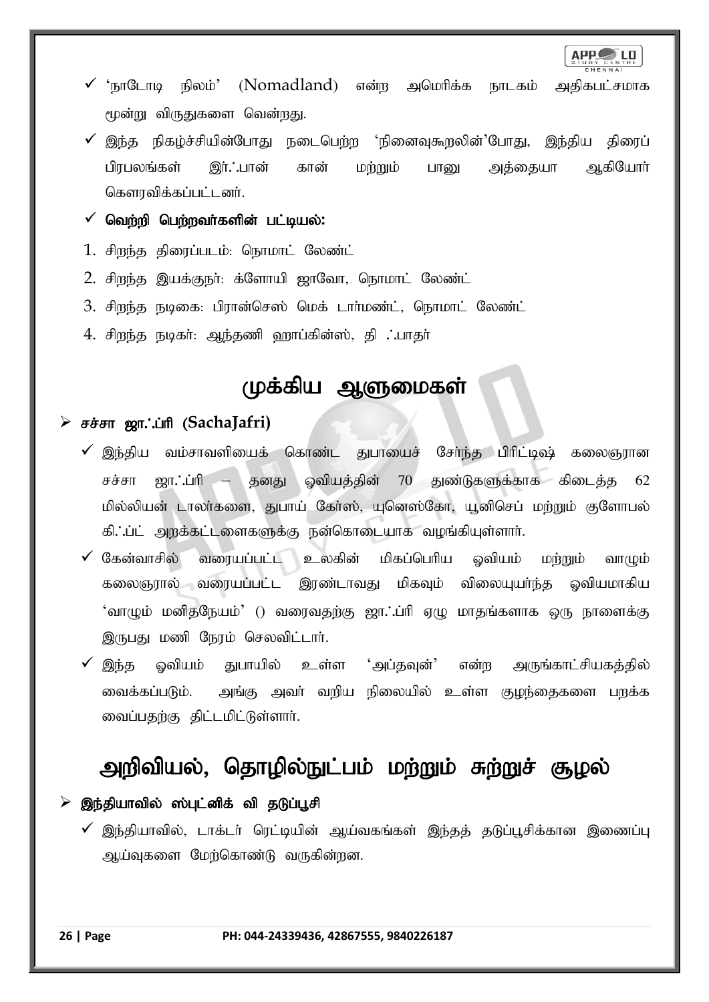APP LD

- $\checkmark$  'நாடோடி நிலம்' (Nomadland) என்ற அமெரிக்க நாடகம் அதிகபட்சமாக மூன்று விருதுகளை வென்றது.
- $\checkmark$  இந்த நிகழ்ச்சியின்போது நடைபெற்ற 'நினைவுகூறலின்'போது, இந்திய திரைப் பிரபலங்கள் இர். பான் கான் மற்றும் பானு அத்தையா ஆகியோர் கௌரவிக்கப்பட்டனர்.
- $\checkmark$  வெற்றி பெற்றவர்களின் பட்டியல்:
- 1. சிறந்த திரைப்படம்: நொமாட் லேண்ட்
- 2. சிறந்த இயக்குநா்: க்ளோயி ஜாவோ, நொமாட் லேண்ட்
- 3. சிறந்த நடிகை: பிரான்செஸ் மெக் டார்மண்ட், நொமாட் லேண்ட்
- $4.$  சிறந்த நடிகர்: ஆந்தணி ஹாப்கின்ஸ், தி . பாதர்

# முக்கிய ஆளுமைகள்

### ➢ rr;rh [h/g;hp (**SachaJafri)**

- $\checkmark$  இந்திய வம்சாவளியைக் கொண்ட துபாயைச் சேர்ந்த பிரிட்டிஷ் கலைஞரான சச்சா ஜா. ப்ரி – தனது ஓவியத்தின் 70 துண்டுகளுக்காக கிடைத்த 62 மில்லியன் டாலா்களை, துபாய் கோ்ஸ், யுனெஸ்கோ, யூனிசெப் மா்றும் குளோபல் கி. ப்ட் அறக்கட்டளைகளுக்கு நன்கொடையாக வழங்கியுள்ளாா்.
- $\checkmark$  கேன்வாசில் வரையப்பட்ட உலகின் மிகப்பெரிய ஒவியம் மற்றும் வாமும் கலைஞரால் வரையப்பட்ட இரண்டாவது மிகவும் விலையுயர்ந்த ஒவியமாகிய 'வாழும் மனிதநேயம்' () வரைவதற்கு ஜா.:ப்ரி ஏழு மாதங்களாக ஒரு நாளைக்கு இருபது மணி நேரம் செலவிட்டார்.
- இந்த ஓவியம் துபாயில் உள்ள 'அப்தவுன்' என்ற அருங்காட்சியகத்தில் வைக்கப்படும். அங்கு அவர் வறிய நிலையில் உள்ள குழந்தைகளை பறக்க வைப்பதற்கு திட்டமிட்டுள்ளார்.

# அறிவியல், தொழில்நுட்பம் மற்றும் சுற்றுச் சூழல்

### $\triangleright$  இந்தியாவில் ஸ்புட்னிக் வி தடுப்பூசி

 $\checkmark$  இந்தியாவில், டாக்டர் ரெட்டியின் ஆய்வகங்கள் இந்தத் தடுப்பூசிக்கான இணைப்பு ஆய்வுகளை மேற்கொண்டு வருகின்றன.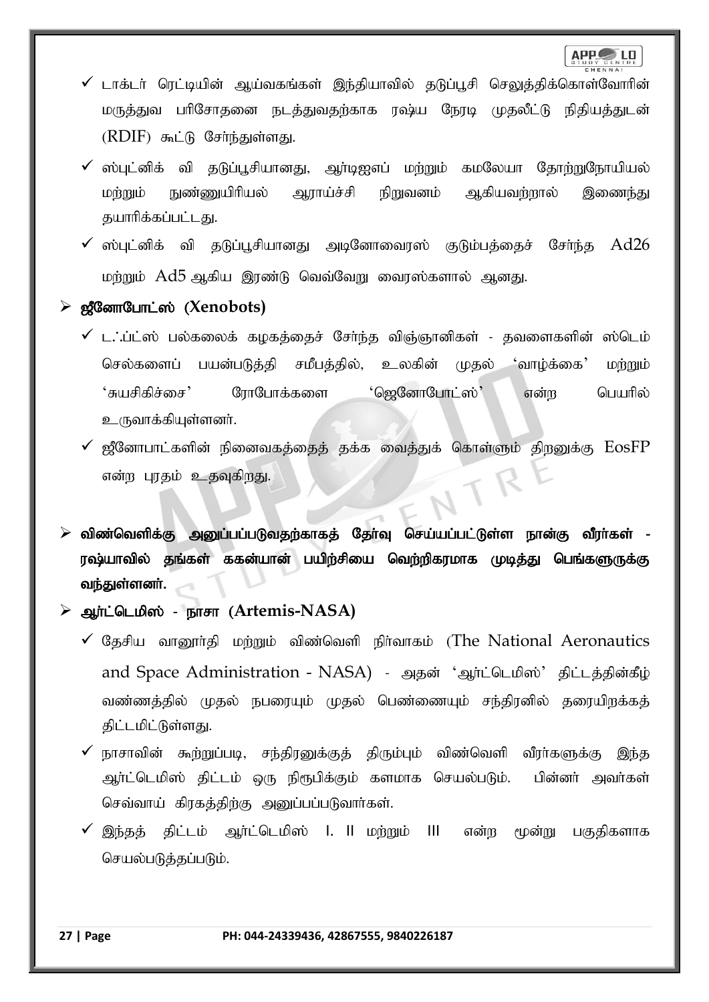- $\checkmark$  டாக்டர் ரெட்டியின் ஆய்வகங்கள் இந்தியாவில் தடுப்பூசி செலுத்திக்கொள்வோரின் மருத்துவ பரிசோதனை நடத்துவதற்காக ரஷ்ய நேரடி முதலீட்டு நிதியத்துடன்  $(RDIF)$  கூட்டு சேர்ந்துள்ளது.
- $\checkmark$  ஸ்புட்னிக் வி தடுப்பூசியானது, ஆர்டிஐஎப் மற்றும் கமலேயா தோற்றுநோயியல் மற்றும் நுண்ணுயிரியல் ஆராய்ச்சி நிறுவனம் ஆகியவற்றால் இணைந்து தயாரிக்கப்பட்டது.
- $\checkmark$  ஸ்புட்னிக் வி தடுப்பூசியானது அடினோவைரஸ் குடும்பத்தைச் சேர்ந்த  $\operatorname{Ad}26$ மர்றும் Ad5 ஆகிய இரண்டு வெவ்வேறு வைரஸ்களால் ஆனது.
- $\triangleright$  ஜீனோபோட்ஸ் (Xenobots)
	- $\checkmark$  ட. ப்ட்ஸ் பல்கலைக் கழகத்தைச் சேர்ந்த விஞ்ஞானிகள் தவளைகளின் ஸ்டெம் செல்களைப் பயன்படுத்தி சமீபத்தில், உலகின் முதல் 'வாழ்க்கை' மற்றும் 'சுயசிகிச்சை' ரோபோக்களை 'ஜெனோபோட்ஸ்' என்ற பெயரில் உருவாக்கியுள்ளனர்.
	- $\checkmark$  ஜீனோபாட்களின் நினைவகத்தைத் தக்க வைத்துக் கொள்ளும் திறனுக்கு  $\mathrm{EosFP}$ என்ற புரதம் உதவுகிறது.
- $\triangleright$  விண்வெளிக்கு அனுப்பப்படுவதற்காகத் தேர்வு செய்யப்பட்டுள்ள நான்கு வீரர்கள் -ரஷ்யாவில் தங்கள் ககன்யான் பயிற்சியை வெற்றிகரமாக முடித்து பெங்களுருக்கு வந்துள்ளனர்.
- ➢ Mh;l;nlkp]; ehrh (**Artemis-NASA)**
	- $\checkmark$  தேசிய வானூர்தி மற்றும் விண்வெளி நிர்வாகம் (The National Aeronautics and Space Administration - NASA) - அதன் 'ஆர்ட்டெமிஸ்' திட்டத்தின்கீழ் வண்ணத்தில் முதல் நபரையும் முதல் பெண்ணையும் சந்திரனில் தரையிறக்கத் திட்டமிட்டுள்ளது.
	- $\checkmark$  நாசாவின் கூற்றுப்படி, சந்திரனுக்குத் திரும்பும் விண்வெளி வீரா்களுக்கு இந்த அர்ட்டெமிஸ் திட்டம் ஒரு நிரூபிக்கும் களமாக செயல்படும். பின்னர் அவர்கள் செவ்வாய் கிரகத்திற்கு அனுப்பப்படுவார்கள்.
	- இந்தத் திட்டம் ஆர்ட்டெமிஸ் l. ll மற்றும் lll என்ற மூன்று பகுதிகளாக செயல்படுத்தப்படும்.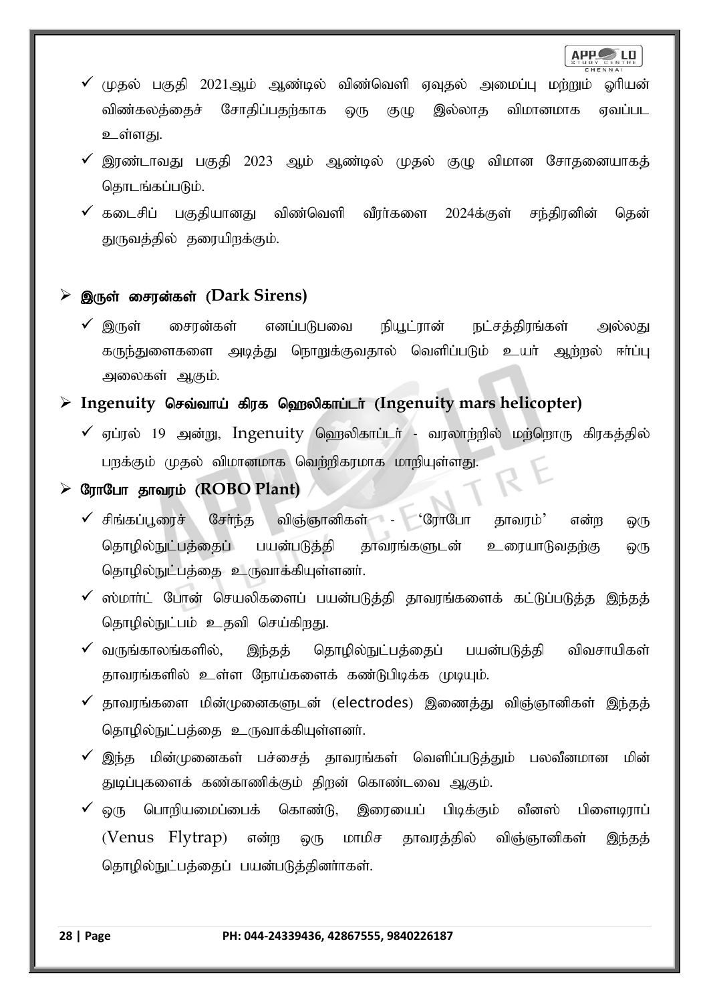- $\checkmark$  (மகல் பகுதி 2021ஆம் ஆண்டில் விண்வெளி ஏவுதல் அமைப்பு மற்றும் ஓரியன் விண்கலத்தைச் சோதிப்பதற்காக ஒரு குழு இல்லாத விமானமாக ஏவப்பட உள்ளது.
- $\checkmark$  இரண்டாவது பகுதி 2023 ஆம் ஆண்டில் முதல் குழு விமான சோதனையாகத் தொடங்கப்படும்.
- $\checkmark$  கடைசிப் பகுதியானது விண்வெளி வீரர்களை 2024க்குள் சந்திரனின் தென் துருவத்தில் தரையிறக்கும்.

### $\triangleright$  இருள் சைரன்கள் (Dark Sirens)

 $\checkmark$  இருள் சைரன்கள் எனப்படுபவை நியூட்ரான் நட்சத்திரங்கள் அல்லது கருந்துளைகளை அடித்து நொறுக்குவதால் வெளிப்படும் உயர் ஆற்றல் ஈர்ப்பு அலைகள் ஆகும்.

### **Example 1** Fugenuity செவ்வாய் கிரக ஹெலிகாப்டர் (Ingenuity mars helicopter)

 $\checkmark$  ஏப்ரல் 19 அன்று, Ingenuity ஹெலிகாப்டர் - வரலாற்றில் மற்றொரு கிரகத்தில் பறக்கும் முதல் விமானமாக வெற்றிகரமாக மாறியுள்ளது.

### **≻ குாபோ தாவரம் (ROBO Plant)**

- $\checkmark$  சிங்கப்பூரைச் சேர்ந்த விஞ்ஞானிகள் 'ரோபோ தாவரம்' என்ற ஒரு தொழில்நுட்பத்தைப் பயன்படுத்தி தாவரங்களுடன் உரையாடுவதற்கு ஒரு தொழில்நுட்பத்தை உருவாக்கியுள்ளனர்.
- $\checkmark$  ஸ்மார்ட் போன் செயலிகளைப் பயன்படுத்தி தாவரங்களைக் கட்டுப்படுத்த இந்தத் தொழில்நுட்பம் உதவி செய்கிறது.
- $\checkmark$  வருங்காலங்களில், இந்தத் தொழில்நுட்பத்தைப் பயன்படுத்தி விவசாயிகள் தாவரங்களில் உள்ள நோய்களைக் கண்டுபிடிக்க முடியும்.
- $\checkmark$  தாவரங்களை மின்முனைகளுடன் (electrodes) இணைத்து விஞ்ஞானிகள் இந்தத் தொழில்நுட்பத்தை உருவாக்கியுள்ளனர்.
- $\checkmark$  இந்த மின்முனைகள் பச்சைத் தாவரங்கள் வெளிப்படுத்தும் பலவீனமான மின் துடிப்புகளைக் கண்காணிக்கும் திறன் கொண்டவை ஆகும்.
- ஒரு பொறியமைப்பைக் கொண்டு, இரையைப் பிடிக்கும் வீனஸ் பிளைடிராப்  $(Venus$   $Flytrap$  என்ற ஒரு மாமிச தாவரத்தில் விஞ்ஞானிகள் இந்தத் தொழில்நுட்பத்தைப் பயன்படுத்தினாாகள்.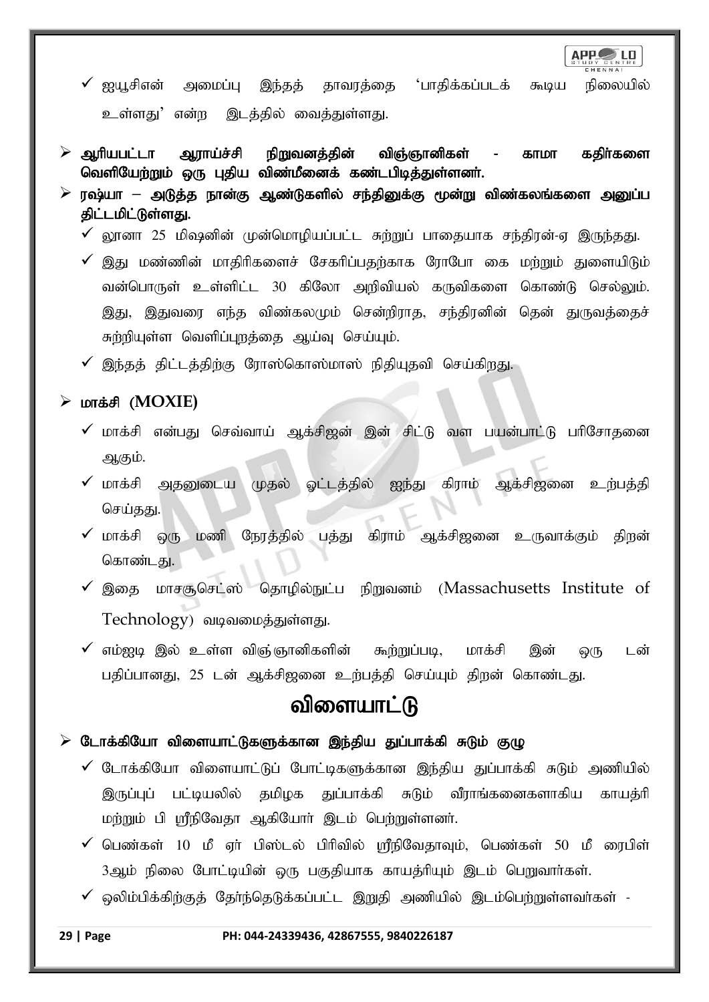**APP** LD

- $\checkmark$  ஐயூசிஎன் அமைப்பு இந்தத் தாவரத்தை 'பாதிக்கப்படக் கூடிய நிலையில் உள்ளது' என்ற இடத்தில் வைத்துள்ளது.
- ஆரியபட்டா ஆராய்ச்சி நிறுவனத்தின் விஞ்ஞானிகள் காமா கதிர்களை வெளியேற்றும் ஒரு புதிய விண்மீனைக் கண்டபிடித்துள்ளனர்.
- $\triangleright$  ரஷ்யா அடுத்த நான்கு ஆண்டுகளில் சந்தினுக்கு மூன்று விண்கலங்களை அனுப்ப திட்டமிட்டுள்ளது.
	- $\checkmark$  லூனா 25 மிஷனின் முன்மொழியப்பட்ட சுற்றுப் பாதையாக சந்திரன்-ஏ இருந்தது.
	- $\checkmark$  இது மண்ணின் மாதிரிகளைச் சேகரிப்பதற்காக ரோபோ கை மற்றும் துளையிடும் வன்பொருள் உள்ளிட்ட 30 கிலோ அறிவியல் கருவிகளை கொண்டு செல்லும். இது, இதுவரை எந்த விண்கலமும் சென்றிராத, சந்திரனின் தென் துருவத்தைச் சுற்றியுள்ள வெளிப்புறத்தை ஆய்வு செய்யும்.
	- $\checkmark$  இந்தத் திட்டத்திற்கு ரோஸ்கொஸ்மாஸ் நிதியுதவி செய்கிறது.

### ➢ khf;rp (**MOXIE)**

- $\checkmark$  மாக்சி என்பது செவ்வாய் ஆக்சிஜன் இன் சிட்டு வள பயன்பாட்டு பரிசோதனை ஆகும்.
- $\checkmark$  மாக்சி அதனுடைய முதல் ஓட்டத்தில் ஐந்து கிராம் ஆக்சிஜனை உற்பத்தி செய்தது.
- $\checkmark$  மாக்சி ஒரு மணி நேரத்தில் பத்து கிராம் ஆக்சிஜனை உருவாக்கும் திறன் கொண்டது.
- $\checkmark$  இதை மாசசூசெட்ஸ் தொழில்நுட்ப நிறுவனம் (Massachusetts Institute of Technology) வடிவமைத்துள்ளது.
- $\checkmark$  எம்ஐடி இல் உள்ள விஞ்ஞானிகளின் கூற்றுப்படி, மாக்சி இன் ஒரு டன் பதிப்பானது, 25 டன் ஆக்சிஜனை உற்பத்தி செய்யும் திறன் கொண்டது.

# விளையாட்டு

### $\triangleright$  டோக்கியோ விளையாட்டுகளுக்கான இந்திய துப்பாக்கி சுடும் குழு

- $\checkmark$  டோக்கியோ விளையாட்டுப் போட்டிகளுக்கான இந்திய துப்பாக்கி சுடும் அணியில் இருப்புப் பட்டியலில் தமிழக துப்பாக்கி சுடும் வீராங்கனைகளாகிய காயத்ரி மற்றும் பி ஸ்ரீநிவேதா ஆகியோர் இடம் பெற்றுள்ளனர்.
- $\checkmark$  பெண்கள் 10 மீ ஏர் பிஸ்டல் பிரிவில் ஸ்ரீநிவேதாவும், பெண்கள் 50 மீ ரைபிள் 3ஆம் நிலை போட்டியின் ஒரு பகுதியாக காயத்ரியும் இடம் பெறுவார்கள்.
- $\checkmark$  ஒலிம்பிக்கிற்குத் தேர்ந்தெடுக்கப்பட்ட இறுதி அணியில் இடம்பெற்றுள்ளவர்கள் -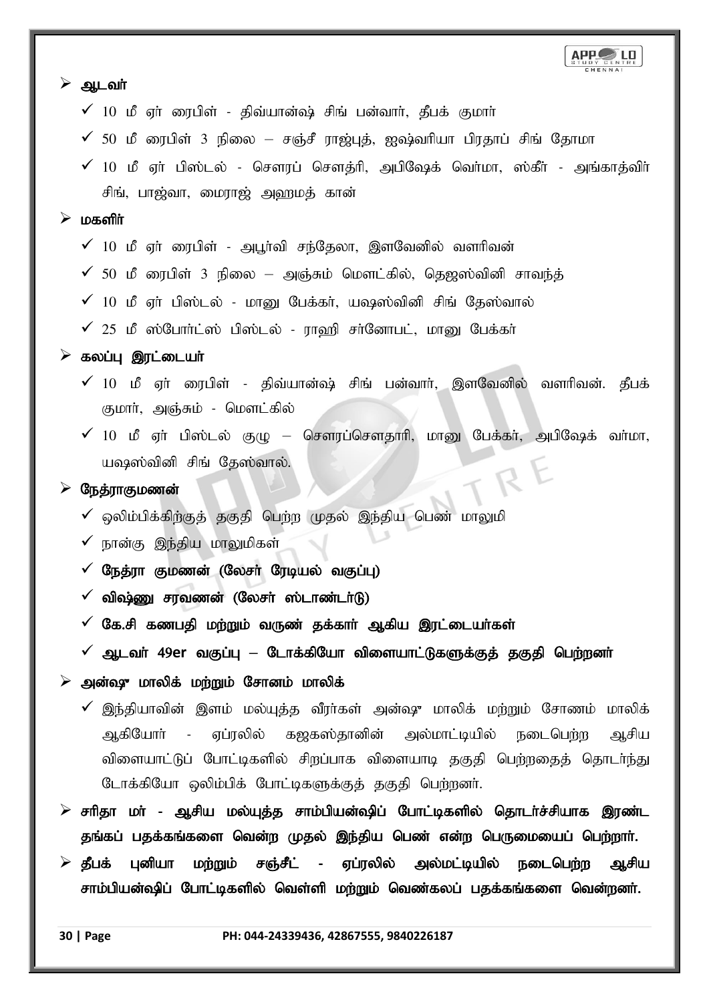| ➤<br>ஆடவா்                                                                              |
|-----------------------------------------------------------------------------------------|
| $\checkmark$ 10 மீ ஏர் ரைபிள் - திவ்யான்ஷ் சிங் பன்வார், தீபக் குமார்                   |
| $\checkmark$ 50 மீ ரைபிள் 3 நிலை — சஞ்சீ ராஜ்புத், ஐஷ்வரியா பிரதாப் சிங் தோமா           |
| $\checkmark$ 10 மீ ஏா் பிஸ்டல் - சௌரப் சௌத்ரி, அபிஷேக் வொ்மா, ஸ்கீா் - அங்காத்விா்      |
| சிங், பாஜ்வா, மைராஜ் அஹமத் கான்                                                         |
| மகளிர்<br>➤                                                                             |
| $\checkmark$ 10 மீ ஏர் ரைபிள் - அபூர்வி சந்தேலா, இளவேனில் வளரிவன்                       |
| $\checkmark$ 50 மீ ரைபிள் 3 நிலை — அஞ்சும் மௌட்கில், தெஜஸ்வினி சாவந்த்                  |
| $\checkmark$ 10 மீ ஏர் பிஸ்டல் - மானு பேக்கர், யஷஸ்வினி சிங் தேஸ்வால்                   |
| $\checkmark$ 25 மீ ஸ்போர்ட்ஸ் பிஸ்டல் - ராஹி சர்னோபட், மானு பேக்கர்                     |
| $\triangleright$ கலப்பு இரட்டையா்                                                       |
| $\checkmark$ 10 மீ ஏா் ரைபிள் - திவ்யான்ஷ் சிங் பன்வாா், இளவேனில் வளாிவன். தீபக்        |
| குமார், அஞ்சும் - மௌட்கில்                                                              |
| $\checkmark$ 10 மீ ஏா் பிஸ்டல் குழு — சௌரப்சௌதாாி, மானு பேக்கா், அபிஷேக் வா்மா,         |
| யஷஸ்வினி சிங் தேஸ்வால்.                                                                 |
| RE<br>நேத்ராகுமணன்<br>➤                                                                 |
| $\checkmark$ ஒலிம்பிக்கிற்குத் தகுதி பெற்ற முதல் இந்திய பெண் மாலுமி                     |
| ✔ நான்கு இந்திய மாலுமிகள்                                                               |
| நேத்ரா குமணன் (லேசா் ரேடியல் வகுப்பு)<br>$\checkmark$                                   |
| $\checkmark$ விஷ்ணு சரவணன் (லேசர் ஸ்டாண்டர்டு)                                          |
| $\checkmark$ கே.சி கணபதி மற்றும் வருண் தக்கார் ஆகிய இரட்டையர்கள்                        |
| $\checkmark$ ஆடவா் 49er வகுப்பு — டோக்கியோ விளையாட்டுகளுக்குத் தகுதி பெற்றனா்           |
| அன்ஷு மாலிக் மற்றும் சோனம் மாலிக்<br>➤                                                  |
| $\checkmark$ இந்தியாவின் இளம் மல்யுத்த வீரா்கள் அன்ஷு மாலிக் மற்றும் சோணம் மாலிக்       |
| - ஏப்ரலில் கஜகஸ்தானின் அல்மாட்டியில் நடைபெற்ற ஆசிய<br>ஆகியோா்                           |
| விளையாட்டுப் போட்டிகளில் சிறப்பாக விளையாடி தகுதி பெற்றதைத் தொடர்ந்து                    |
| டோக்கியோ ஒலிம்பிக் போட்டிகளுக்குத் தகுதி பெற்றனர்.                                      |
| $\triangleright$ சாிதா மா் - ஆசிய மல்யுத்த சாம்பியன்ஷிப் போட்டிகளில் தொடா்ச்சியாக இரண்ட |
| தங்கப் பதக்கங்களை வென்ற முதல் இந்திய பெண் என்ற பெருமையைப் பெற்றாா்.                     |
| $\triangleright$ தீபக் புனியா மற்றும் சஞ்சீட் - ஏப்ரலில் அல்மட்டியில் நடைபெற்ற ஆசிய     |

சாம்பியன்ஷிப் போட்டிகளில் வெள்ளி மற்றும் வெண்கலப் பதக்கங்களை வென்றனர்.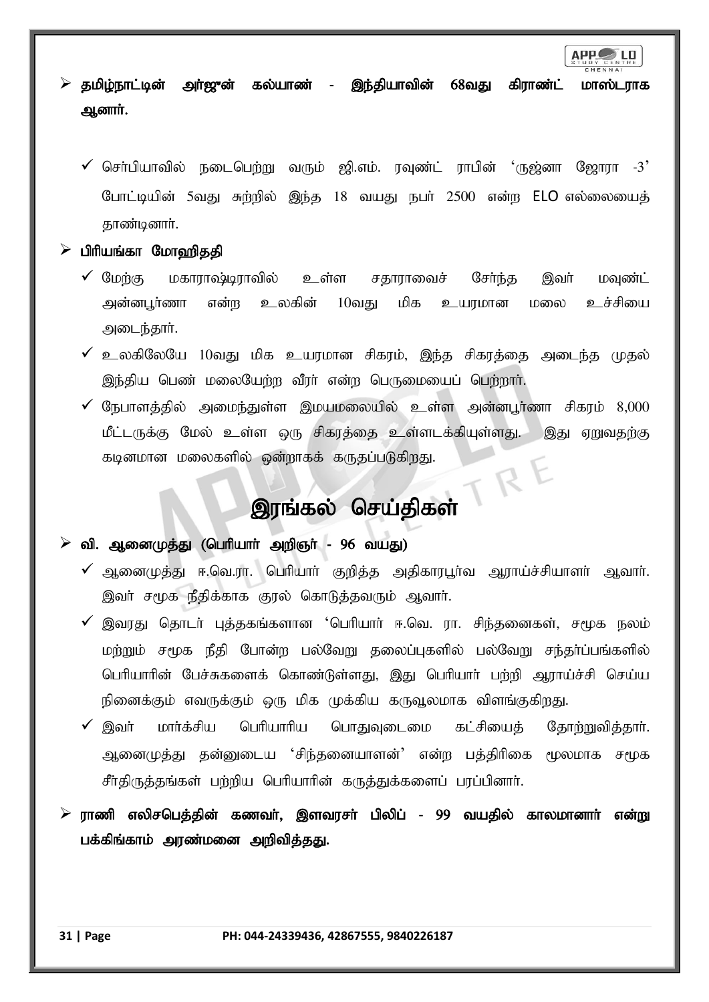

தமிழ்நாட்டின் அா்ஜுன் கல்யாண் - இந்தியாவின் 68வது கிராண்ட் மாஸ்டராக ஆனார்.

- $\checkmark$  சொ்பியாவில் நடைபெற்று வரும் ஜி.எம். ரவுண்ட் ராபின் 'ருஜ்னா ஜோரா -3' போட்டியின் 5வது சுற்றில் இந்த 18 வயது நபர் 2500 என்ற ELO எல்லையைத் காண்டினார்.
- $\triangleright$  பிரியங்கா மோஹிததி
	- $\checkmark$  மேற்கு மகாராஷ்டிராவில் உள்ள சதாராவைச் சேர்ந்த இவர் மவுண்ட் அன்னபூர்ணா என்ற உலகின் 10வது மிக உயரமான மலை உச்சியை அடைந்தார்.
	- $\checkmark$  உலகிலேயே 10வது மிக உயரமான சிகரம், இந்த சிகரத்தை அடைந்த முதல் இந்திய பெண் மலையேற்ற வீரர் என்ற பெருமையைப் பெற்றார்.
	- $\checkmark$  நேபாளத்தில் அமைந்துள்ள இமயமலையில் உள்ள அன்னபூர்ணா சிகரம் 8,000 மீட்டருக்கு மேல் உள்ள ஒரு சிகரத்தை உள்ளடக்கியுள்ளது. இது ஏறுவதற்கு கடினமான மலைகளில் ஒன்றாகக் கருதப்படுகிறது. TRE

# இரங்கல் செய்திகள்

### வி. ஆனைமுத்து (பெரியாா் அறிஞா் - 96 வயது)

- $\checkmark$  ஆனைமுக்கு ஈ.வெ.ரா. பெரியார் குறிக்க அகிகாரபர்வ அராய்ச்சியாளர் அவார். இவர் சமூக நீதிக்காக குரல் கொடுத்தவரும் ஆவார்.
- $\checkmark$  இவரது தொடர் புத்தகங்களான 'பெரியார் ஈ.வெ. ரா. சிந்தனைகள், சமூக நலம் மற்றும் சமூக நீதி போன்ற பல்வேறு தலைப்புகளில் பல்வேறு சந்தர்ப்பங்களில் பெரியாரின் பேச்சுகளைக் கொண்டுள்ளது, இது பெரியார் பற்றி ஆராய்ச்சி செய்ய நினைக்கும் எவருக்கும் ஒரு மிக முக்கிய கருவூலமாக விளங்குகிறது.
- $\checkmark$  இவர் மார்க்சிய பெரியாரிய பொதுவுடைமை கட்சியைத் தோற்றுவித்தார். ஆனைமுத்து தன்னுடைய 'சிந்தனையாளன்' என்ற பத்திரிகை மூலமாக சமூக சீர்திருத்தங்கள் பற்றிய பெரியாரின் கருத்துக்களைப் பரப்பினார்.
- $\triangleright$  ராணி எலிசபெத்தின் கணவர், இளவரசர் பிலிப் 99 வயதில் காலமானார் என்று பக்கிங்காம் அரண்மனை அறிவித்தது.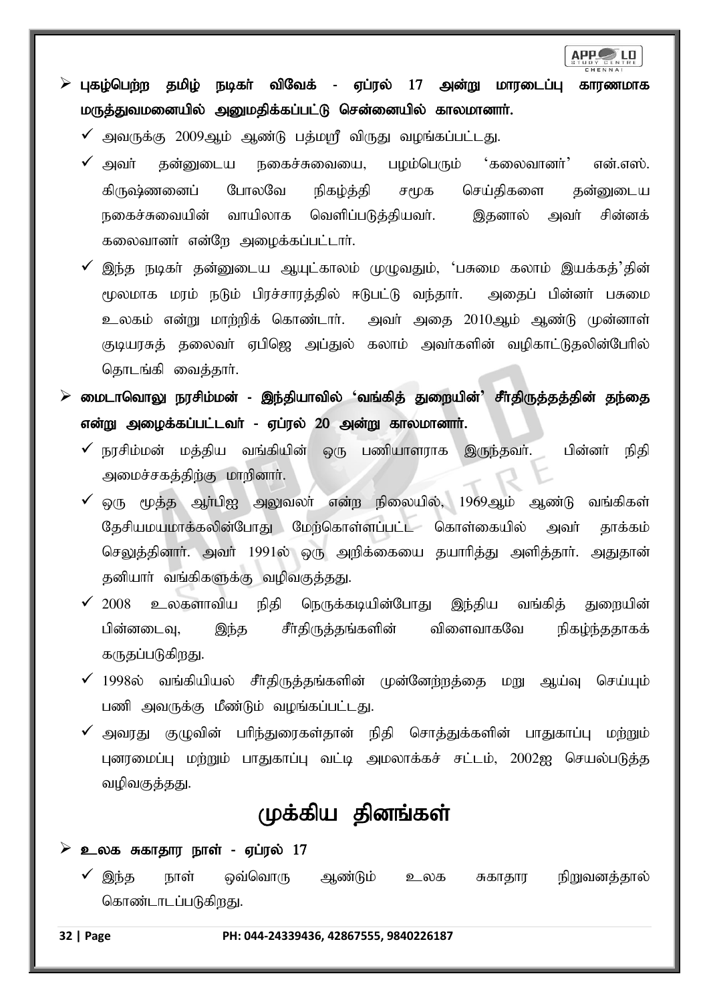

- $\triangleright$  புகழ்பெற்ற தமிழ் நடிகர் விவேக் ஏப்ரல் 17 அன்று மாரடைப்பு காரணமாக மருத்துவமனையில் அனுமதிக்கப்பட்டு சென்னையில் காலமானார்.
	- $\checkmark$  அவருக்கு 2009ஆம் ஆண்டு பக்மாரீ விருது வழங்கப்பட்டது.
	- $\checkmark$  அவர் தன்னுடைய நகைச்சுவையை, பழம்பெரும் 'கலைவானர்' என்.எஸ். கிருஷ்ணனைப் போலவே நிகழ்த்தி சமூக செய்திகளை தன்னுடைய நகைச்சுவையின் வாயிலாக வெளிப்படுத்தியவர். இதனால் அவர் சின்னக் கலைவானர் என்றே அழைக்கப்பட்டார்.
	- $\checkmark$  இந்த நடிகர் தன்னுடைய ஆயுட்காலம் முழுவதும், 'பசுமை கலாம் இயக்கத்'தின் மூலமாக மரம் நடும் பிரச்சாரத்தில் ஈடுபட்டு வந்தார். அதைப் பின்னர் பசுமை உலகம் என்று மாற்றிக் கொண்டார். அவர் அதை 2010ஆம் ஆண்டு முன்னாள் குடியரசுத் தலைவா் ஏபிஜெ அப்துல் கலாம் அவா்களின் வழிகாட்டுதலின்போில் தொடங்கி வைக்கார்.
- $\triangleright$  மைடாவொலு நரசிம்மன் இந்தியாவில் 'வங்கித் துறையின்' சீர்திருத்தத்தின் தந்தை என்று அழைக்கப்பட்டவர் - ஏப்ரல் 20 அன்று காலமானார்.
	- நரசிம்மன் மத்திய வங்கியின் ஒரு பணியாளராக இருந்தவர். பின்னர் நிதி அமைச்சகத்திற்கு மாறினாா்.
	- $\checkmark$  ஒரு மூத்த ஆா்பிஐ அலுவலா் என்ற நிலையில், 1969ஆம் ஆண்டு வங்கிகள் தேசியமயமாக்கலின்போது மேற்கொள்ளப்பட்ட கொள்கையில் அவர் தாக்கம் செலுத்தினாா். அவா் 1991ல் ஒரு அறிக்கையை தயாாித்து அளித்தாா். அதுதான் தனியார் வங்கிகளுக்கு வழிவகுத்தது.
	- $\checkmark$  2008 உலகளாவிய நிதி நெருக்கடியின்போது இந்திய வங்கித் துறையின் பின்னடைவு, இந்த சீர்திருத்தங்களின் விளைவாகவே நிகழ்ந்ததாகக் கருதப்படுகிறது.
	- $\checkmark$  1998ல் வங்கியியல் சீர்திருத்தங்களின் முன்னேற்றத்தை மறு ஆய்வு செய்யும் பணி அவருக்கு மீண்டும் வழங்கப்பட்டது.
	- அவரது குழுவின் பரிந்துரைகள்தான் நிதி சொத்துக்களின் பாதுகாப்பு மற்றும் புனரமைப்பு மற்றும் பாதுகாப்பு வட்டி அமலாக்கச் சட்டம், 2002ஐ செயல்படுத்த வழிவகுத்தது.

# முக்கிய தினங்கள்

#### உலக சுகாதார நாள் - ஏப்ரல் 17

இந்த நாள் ஒவ்வொரு ஆண்டும் உலக சுகாதார நிறுவனத்தால் கொண்டாடப்படுகிறது.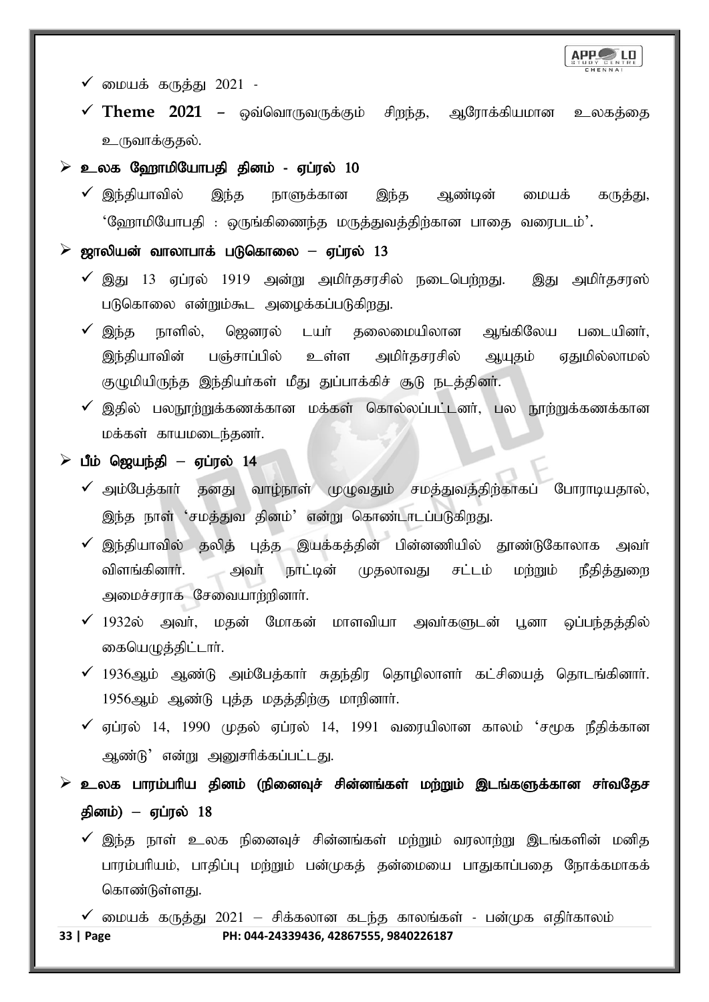

- $\checkmark$  மையக் கருத்து 2021 -
- $\checkmark$  Theme 2021 ஒவ்வொருவருக்கும் சிறந்த, ஆரோக்கியமான உலகத்தை உருவாக்குதல்.
- உலக ஹோமியோபதி தினம் ஏப்ரல் 10
	- $\checkmark$  இந்தியாவில் இந்த நாளுக்கான இந்த ஆண்டின் மையக் கருத்து,  $"$ ஹோமியோபதி : ஒருங்கிணைந்த மருத்துவத்திற்கான பாதை வரைபடம் $'.$

### $\triangleright$  ஜாலியன் வாலாபாக் படுகொலை – ஏப்ரல் 13

- $\checkmark$  இது 13 ஏப்ரல் 1919 அன்று அமிர்தசரசில் நடைபெற்றது. இது அமிர்தசரஸ் படுகொலை என்றும்கூட அழைக்கப்படுகிறது.
- $\checkmark$  இந்த நாளில், ஜெனரல் டயர் தலைமையிலான ஆங்கிலேய படையினர், இந்தியாவின் பஞ்சாப்பில் உள்ள அமிர்தசரசில் ஆயுதம் ஏதுமில்லாமல் குழுமியிருந்த இந்தியா்கள் மீது துப்பாக்கிச் சூடு நடத்தினா்.
- $\checkmark$  இதில் பலநூற்றுக்கணக்கான மக்கள் கொல்லப்பட்டனர், பல நூற்றுக்கணக்கான மக்கள் காயமடைந்தனர்.

### $\triangleright$  பீம் ஜெயந்தி – ஏப்ரல் 14

- $\checkmark$  அம்பேத்கார் தனது வாழ்நாள் முழுவதும் சமத்துவத்திற்காகப் போராடியதால், இந்த நாள் 'சமத்துவ தினம்' என்று கொண்டாடப்படுகிறது.
- $\checkmark$  இந்தியாவில் தலித் புத்த இயக்கத்தின் பின்னணியில் தூண்டுகோலாக அவர் விளங்கினாா். அவா் நாட்டின் முதலாவது சட்டம் மற்றும் நீதித்துறை அமைச்சராக சேவையாற்றினார்.
- $\checkmark$  1932ல் அவர், மதன் மோகன் மாளவியா அவர்களுடன் பூனா ஒப்பந்தத்தில் கையெமுத்திட்டார்.
- $\checkmark$  1936ஆம் ஆண்டு அம்பேத்காா் சுதந்திர தொழிலாளா் கட்சியைத் தொடங்கினாா். 1956ஆம் ஆண்டு புத்த மதத்திற்கு மாறினார்.
- $\checkmark$  ஏப்ரல் 14, 1990 முதல் ஏப்ரல் 14, 1991 வரையிலான காலம் 'சமூக நீதிக்கான அண்டு' என்று அனுசரிக்கப்பட்டது.
- உலக பாரம்பரிய தினம் (நினைவுச் சின்னங்கள் மற்றும் இடங்களுக்கான சாவதேச தினம்) – ஏப்ரல் 18
	- $\checkmark$  இந்த நாள் உலக நினைவுச் சின்னங்கள் மற்றும் வரலாற்று இடங்களின் மனித பாரம்பரியம், பாதிப்பு மற்றும் பன்முகத் தன்மையை பாதுகாப்பதை நோக்கமாகக் கொண்டுள்ளது.
- **33 | Page PH: 044-24339436, 42867555, 9840226187**  $\checkmark$  மையக் கருத்து 2021 – சிக்கலான கடந்த காலங்கள் - பன்முக எதிர்காலம்